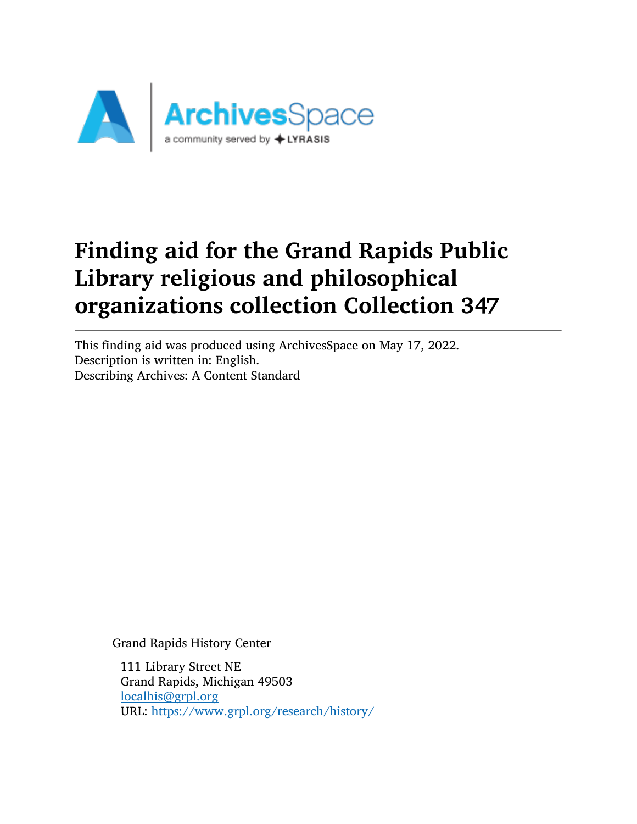

This finding aid was produced using ArchivesSpace on May 17, 2022. Description is written in: English. Describing Archives: A Content Standard

Grand Rapids History Center

111 Library Street NE Grand Rapids, Michigan 49503 [localhis@grpl.org](mailto:localhis@grpl.org) URL: <https://www.grpl.org/research/history/>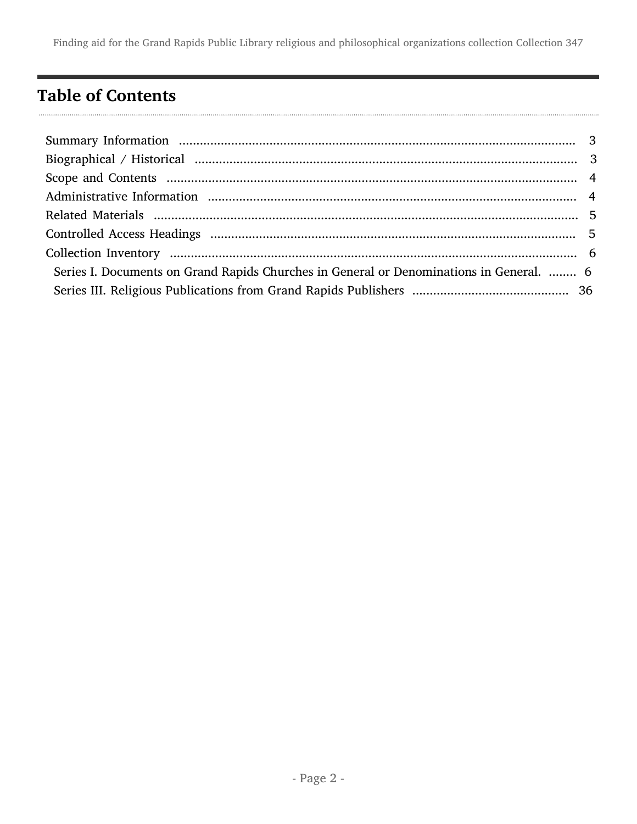## <span id="page-1-0"></span>Table of Contents

| Series I. Documents on Grand Rapids Churches in General or Denominations in General.  6 |  |
|-----------------------------------------------------------------------------------------|--|
|                                                                                         |  |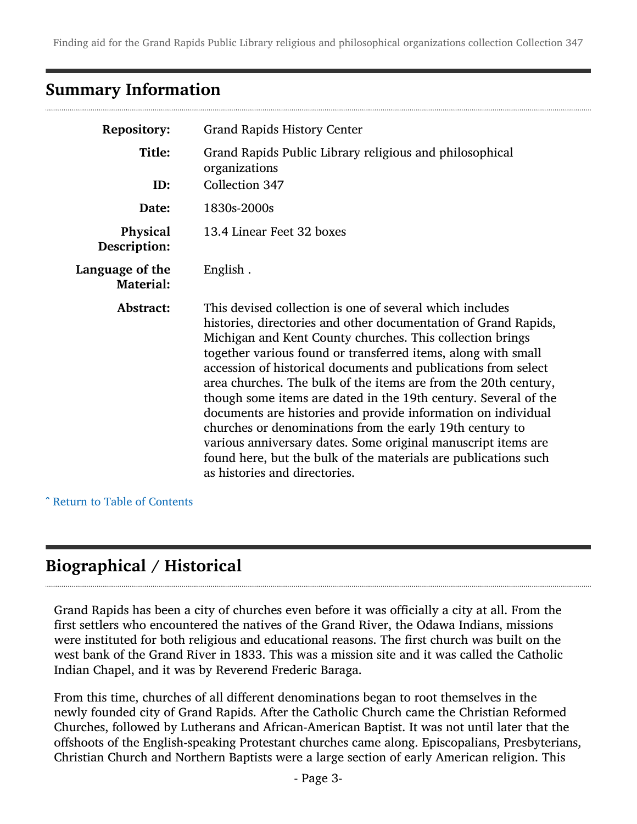### <span id="page-2-0"></span>Summary Information

| <b>Repository:</b>                  | <b>Grand Rapids History Center</b>                                                                                                                                                                                                                                                                                                                                                                                                                                                                                                                                                                                                                                                                                                                                  |
|-------------------------------------|---------------------------------------------------------------------------------------------------------------------------------------------------------------------------------------------------------------------------------------------------------------------------------------------------------------------------------------------------------------------------------------------------------------------------------------------------------------------------------------------------------------------------------------------------------------------------------------------------------------------------------------------------------------------------------------------------------------------------------------------------------------------|
| Title:<br>ID:                       | Grand Rapids Public Library religious and philosophical<br>organizations<br>Collection 347                                                                                                                                                                                                                                                                                                                                                                                                                                                                                                                                                                                                                                                                          |
| Date:                               | 1830s-2000s                                                                                                                                                                                                                                                                                                                                                                                                                                                                                                                                                                                                                                                                                                                                                         |
| Physical<br>Description:            | 13.4 Linear Feet 32 boxes                                                                                                                                                                                                                                                                                                                                                                                                                                                                                                                                                                                                                                                                                                                                           |
| Language of the<br><b>Material:</b> | English.                                                                                                                                                                                                                                                                                                                                                                                                                                                                                                                                                                                                                                                                                                                                                            |
| Abstract:                           | This devised collection is one of several which includes<br>histories, directories and other documentation of Grand Rapids,<br>Michigan and Kent County churches. This collection brings<br>together various found or transferred items, along with small<br>accession of historical documents and publications from select<br>area churches. The bulk of the items are from the 20th century,<br>though some items are dated in the 19th century. Several of the<br>documents are histories and provide information on individual<br>churches or denominations from the early 19th century to<br>various anniversary dates. Some original manuscript items are<br>found here, but the bulk of the materials are publications such<br>as histories and directories. |

^ [Return to Table of Contents](#page-1-0)

## <span id="page-2-1"></span>Biographical / Historical

Grand Rapids has been a city of churches even before it was officially a city at all. From the first settlers who encountered the natives of the Grand River, the Odawa Indians, missions were instituted for both religious and educational reasons. The first church was built on the west bank of the Grand River in 1833. This was a mission site and it was called the Catholic Indian Chapel, and it was by Reverend Frederic Baraga.

From this time, churches of all different denominations began to root themselves in the newly founded city of Grand Rapids. After the Catholic Church came the Christian Reformed Churches, followed by Lutherans and African-American Baptist. It was not until later that the offshoots of the English-speaking Protestant churches came along. Episcopalians, Presbyterians, Christian Church and Northern Baptists were a large section of early American religion. This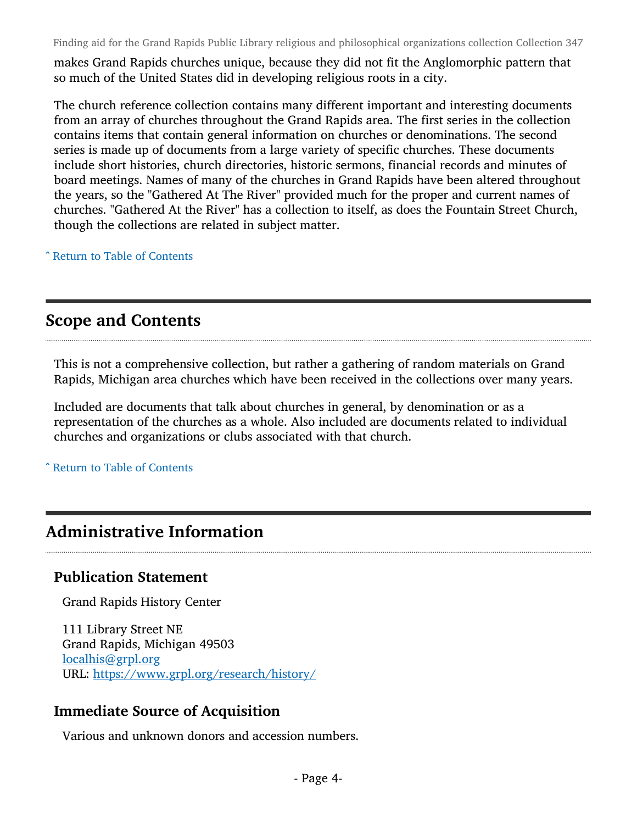makes Grand Rapids churches unique, because they did not fit the Anglomorphic pattern that so much of the United States did in developing religious roots in a city.

The church reference collection contains many different important and interesting documents from an array of churches throughout the Grand Rapids area. The first series in the collection contains items that contain general information on churches or denominations. The second series is made up of documents from a large variety of specific churches. These documents include short histories, church directories, historic sermons, financial records and minutes of board meetings. Names of many of the churches in Grand Rapids have been altered throughout the years, so the "Gathered At The River" provided much for the proper and current names of churches. "Gathered At the River" has a collection to itself, as does the Fountain Street Church, though the collections are related in subject matter.

^ [Return to Table of Contents](#page-1-0)

### <span id="page-3-0"></span>Scope and Contents

This is not a comprehensive collection, but rather a gathering of random materials on Grand Rapids, Michigan area churches which have been received in the collections over many years.

Included are documents that talk about churches in general, by denomination or as a representation of the churches as a whole. Also included are documents related to individual churches and organizations or clubs associated with that church.

^ [Return to Table of Contents](#page-1-0)

## <span id="page-3-1"></span>Administrative Information

#### Publication Statement

Grand Rapids History Center

111 Library Street NE Grand Rapids, Michigan 49503 [localhis@grpl.org](mailto:localhis@grpl.org) URL: <https://www.grpl.org/research/history/>

#### Immediate Source of Acquisition

Various and unknown donors and accession numbers.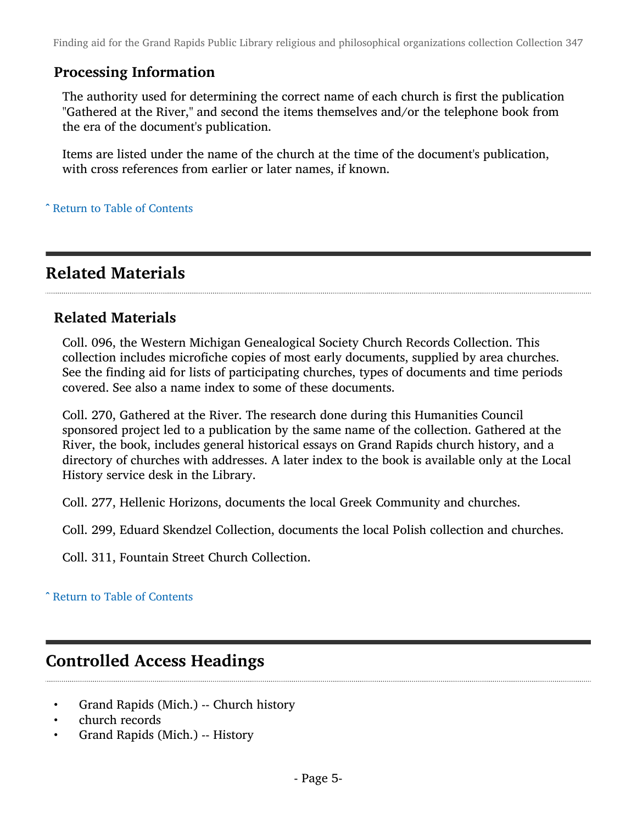#### Processing Information

The authority used for determining the correct name of each church is first the publication "Gathered at the River," and second the items themselves and/or the telephone book from the era of the document's publication.

Items are listed under the name of the church at the time of the document's publication, with cross references from earlier or later names, if known.

^ [Return to Table of Contents](#page-1-0)

### <span id="page-4-0"></span>Related Materials

#### Related Materials

Coll. 096, the Western Michigan Genealogical Society Church Records Collection. This collection includes microfiche copies of most early documents, supplied by area churches. See the finding aid for lists of participating churches, types of documents and time periods covered. See also a name index to some of these documents.

Coll. 270, Gathered at the River. The research done during this Humanities Council sponsored project led to a publication by the same name of the collection. Gathered at the River, the book, includes general historical essays on Grand Rapids church history, and a directory of churches with addresses. A later index to the book is available only at the Local History service desk in the Library.

Coll. 277, Hellenic Horizons, documents the local Greek Community and churches.

Coll. 299, Eduard Skendzel Collection, documents the local Polish collection and churches.

Coll. 311, Fountain Street Church Collection.

^ [Return to Table of Contents](#page-1-0)

#### <span id="page-4-1"></span>Controlled Access Headings

- Grand Rapids (Mich.) -- Church history
- church records
- Grand Rapids (Mich.) -- History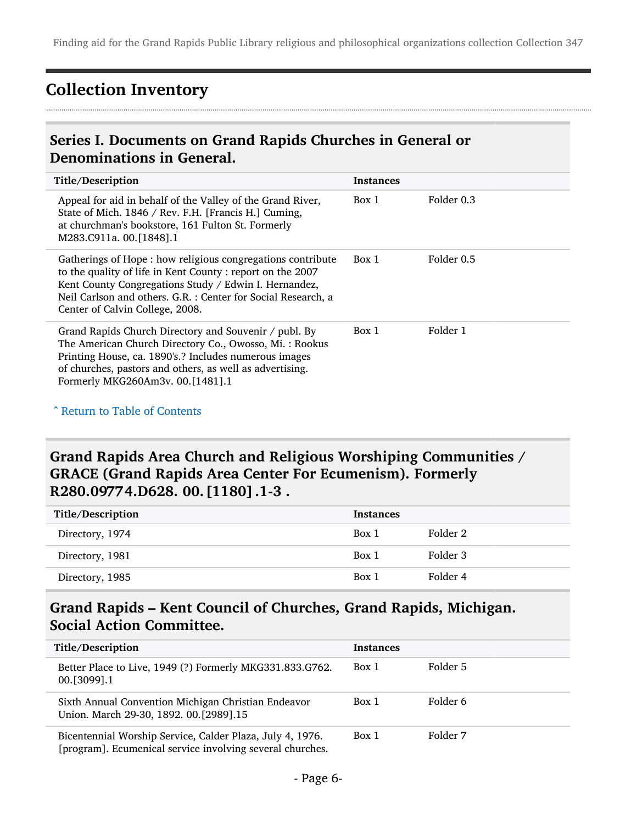## <span id="page-5-0"></span>Collection Inventory

#### <span id="page-5-1"></span>Series I. Documents on Grand Rapids Churches in General or Denominations in General.

| Title/Description                                                                                                                                                                                                                                                                   | <b>Instances</b> |            |
|-------------------------------------------------------------------------------------------------------------------------------------------------------------------------------------------------------------------------------------------------------------------------------------|------------------|------------|
| Appeal for aid in behalf of the Valley of the Grand River,<br>State of Mich. 1846 / Rev. F.H. [Francis H.] Cuming,<br>at churchman's bookstore, 161 Fulton St. Formerly<br>M283.C911a. 00.[1848].1                                                                                  | Box 1            | Folder 0.3 |
| Gatherings of Hope: how religious congregations contribute<br>to the quality of life in Kent County: report on the 2007<br>Kent County Congregations Study / Edwin I. Hernandez,<br>Neil Carlson and others. G.R.: Center for Social Research, a<br>Center of Calvin College, 2008. | Box 1            | Folder 0.5 |
| Grand Rapids Church Directory and Souvenir / publ. By<br>The American Church Directory Co., Owosso, Mi.: Rookus<br>Printing House, ca. 1890's.? Includes numerous images<br>of churches, pastors and others, as well as advertising.<br>Formerly MKG260Am3v. 00.[1481].1            | Box 1            | Folder 1   |

^ [Return to Table of Contents](#page-1-0)

#### Grand Rapids Area Church and Religious Worshiping Communities / GRACE (Grand Rapids Area Center For Ecumenism). Formerly R280.09774.D628. 00.[1180].1-3 .

| Title/Description | <b>Instances</b> |          |
|-------------------|------------------|----------|
| Directory, 1974   | Box 1            | Folder 2 |
| Directory, 1981   | Box 1            | Folder 3 |
| Directory, 1985   | Box 1            | Folder 4 |

#### Grand Rapids – Kent Council of Churches, Grand Rapids, Michigan. Social Action Committee.

| Title/Description                                                                                                      | <b>Instances</b> |          |
|------------------------------------------------------------------------------------------------------------------------|------------------|----------|
| Better Place to Live, 1949 (?) Formerly MKG331.833.G762.<br>00. [3099]. 1                                              | Box 1            | Folder 5 |
| Sixth Annual Convention Michigan Christian Endeavor<br>Union. March 29-30, 1892. 00.[2989].15                          | Box 1            | Folder 6 |
| Bicentennial Worship Service, Calder Plaza, July 4, 1976.<br>[program]. Ecumenical service involving several churches. | Box 1            | Folder 7 |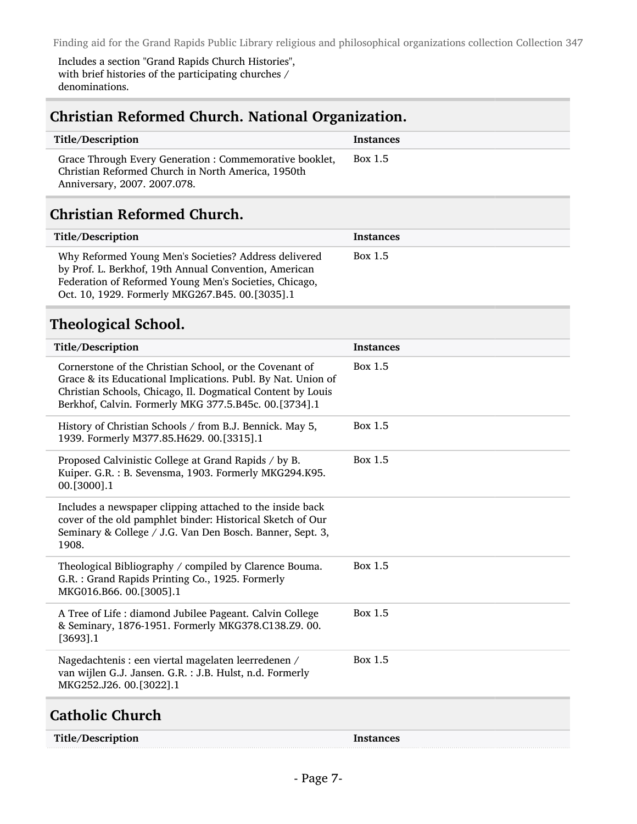Includes a section "Grand Rapids Church Histories", with brief histories of the participating churches / denominations.

| Title/Description                                                                                                                                                                                                                               | <b>Instances</b> |
|-------------------------------------------------------------------------------------------------------------------------------------------------------------------------------------------------------------------------------------------------|------------------|
| Grace Through Every Generation : Commemorative booklet,<br>Christian Reformed Church in North America, 1950th<br>Anniversary, 2007. 2007.078.                                                                                                   | Box 1.5          |
| <b>Christian Reformed Church.</b>                                                                                                                                                                                                               |                  |
| Title/Description                                                                                                                                                                                                                               | <b>Instances</b> |
| Why Reformed Young Men's Societies? Address delivered<br>by Prof. L. Berkhof, 19th Annual Convention, American<br>Federation of Reformed Young Men's Societies, Chicago,<br>Oct. 10, 1929. Formerly MKG267.B45. 00.[3035].1                     | Box 1.5          |
| <b>Theological School.</b>                                                                                                                                                                                                                      |                  |
| Title/Description                                                                                                                                                                                                                               | <b>Instances</b> |
| Cornerstone of the Christian School, or the Covenant of<br>Grace & its Educational Implications. Publ. By Nat. Union of<br>Christian Schools, Chicago, Il. Dogmatical Content by Louis<br>Berkhof, Calvin. Formerly MKG 377.5.B45c. 00.[3734].1 | Box 1.5          |
| History of Christian Schools / from B.J. Bennick. May 5,<br>1939. Formerly M377.85.H629. 00.[3315].1                                                                                                                                            | Box 1.5          |
| Proposed Calvinistic College at Grand Rapids / by B.<br>Kuiper. G.R.: B. Sevensma, 1903. Formerly MKG294.K95.<br>00.[3000].1                                                                                                                    | Box 1.5          |
| Includes a newspaper clipping attached to the inside back<br>cover of the old pamphlet binder: Historical Sketch of Our<br>Seminary & College / J.G. Van Den Bosch. Banner, Sept. 3,<br>1908.                                                   |                  |
| Theological Bibliography / compiled by Clarence Bouma.<br>G.R. : Grand Rapids Printing Co., 1925. Formerly<br>MKG016.B66. 00.[3005].1                                                                                                           | Box 1.5          |
| A Tree of Life : diamond Jubilee Pageant. Calvin College<br>& Seminary, 1876-1951. Formerly MKG378.C138.Z9. 00.<br>$[3693]$ .1                                                                                                                  | Box 1.5          |
| Nagedachtenis : een viertal magelaten leerredenen /<br>van wijlen G.J. Jansen. G.R. : J.B. Hulst, n.d. Formerly<br>MKG252.J26. 00.[3022].1                                                                                                      | Box 1.5          |

| Title/Description | Instances |
|-------------------|-----------|
|-------------------|-----------|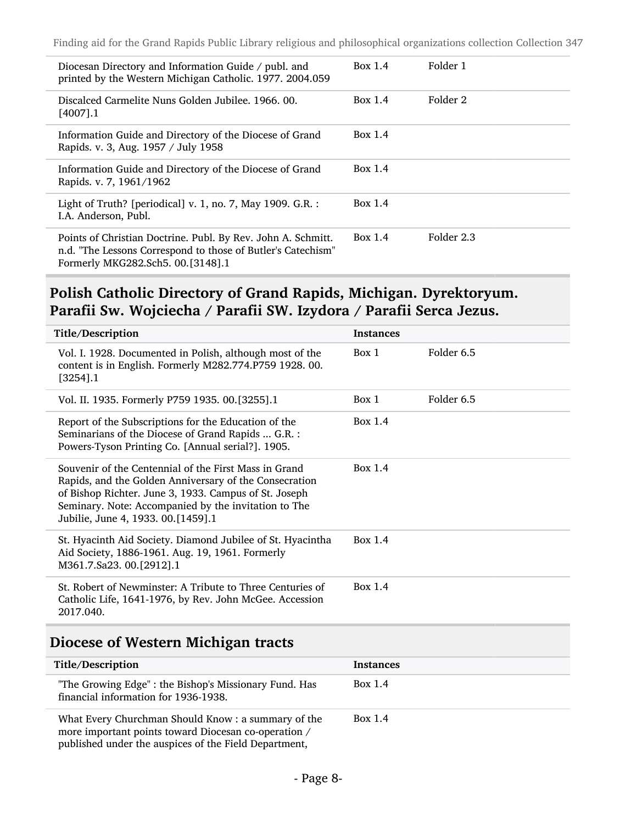| Diocesan Directory and Information Guide / publ. and<br>printed by the Western Michigan Catholic. 1977. 2004.059                                                  | Box 1.4   | Folder 1   |
|-------------------------------------------------------------------------------------------------------------------------------------------------------------------|-----------|------------|
| Discalced Carmelite Nuns Golden Jubilee, 1966, 00.<br>$[4007]$ .1                                                                                                 | Box 1.4   | Folder 2   |
| Information Guide and Directory of the Diocese of Grand<br>Rapids. v. 3, Aug. 1957 / July 1958                                                                    | Box $1.4$ |            |
| Information Guide and Directory of the Diocese of Grand<br>Rapids. v. 7, 1961/1962                                                                                | Box $1.4$ |            |
| Light of Truth? [periodical] v. 1, no. 7, May 1909. G.R. :<br>I.A. Anderson, Publ.                                                                                | Box $1.4$ |            |
| Points of Christian Doctrine. Publ. By Rev. John A. Schmitt.<br>n.d. "The Lessons Correspond to those of Butler's Catechism"<br>Formerly MKG282.Sch5. 00.[3148].1 | Box 1.4   | Folder 2.3 |

#### Polish Catholic Directory of Grand Rapids, Michigan. Dyrektoryum. Parafii Sw. Wojciecha / Parafii SW. Izydora / Parafii Serca Jezus.

| Title/Description                                                                                                                                                                                                                                                      | <b>Instances</b>    |  |
|------------------------------------------------------------------------------------------------------------------------------------------------------------------------------------------------------------------------------------------------------------------------|---------------------|--|
| Vol. I. 1928. Documented in Polish, although most of the<br>content is in English. Formerly M282.774.P759 1928. 00.<br>$[3254]$ .1                                                                                                                                     | Folder 6.5<br>Box 1 |  |
| Vol. II. 1935. Formerly P759 1935. 00.[3255].1                                                                                                                                                                                                                         | Folder 6.5<br>Box 1 |  |
| Report of the Subscriptions for the Education of the<br>Seminarians of the Diocese of Grand Rapids  G.R. :<br>Powers-Tyson Printing Co. [Annual serial?]. 1905.                                                                                                        | Box $1.4$           |  |
| Souvenir of the Centennial of the First Mass in Grand<br>Rapids, and the Golden Anniversary of the Consecration<br>of Bishop Richter. June 3, 1933. Campus of St. Joseph<br>Seminary. Note: Accompanied by the invitation to The<br>Jubilie, June 4, 1933. 00.[1459].1 | Box $1.4$           |  |
| St. Hyacinth Aid Society. Diamond Jubilee of St. Hyacintha<br>Aid Society, 1886-1961. Aug. 19, 1961. Formerly<br>M361.7.Sa23. 00.[2912].1                                                                                                                              | Box $1.4$           |  |
| St. Robert of Newminster: A Tribute to Three Centuries of<br>Catholic Life, 1641-1976, by Rev. John McGee. Accession<br>2017.040.                                                                                                                                      | Box 1.4             |  |

#### Diocese of Western Michigan tracts

| Title/Description                                                                                                                                                   | <b>Instances</b> |
|---------------------------------------------------------------------------------------------------------------------------------------------------------------------|------------------|
| "The Growing Edge": the Bishop's Missionary Fund. Has<br>financial information for 1936-1938.                                                                       | Box 1.4          |
| What Every Churchman Should Know: a summary of the<br>more important points toward Diocesan co-operation /<br>published under the auspices of the Field Department, | Box $1.4$        |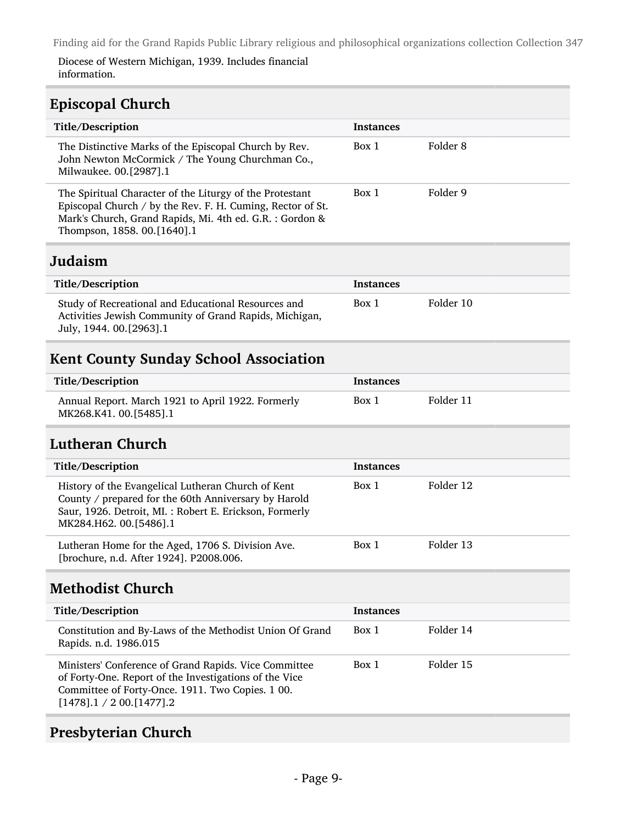Diocese of Western Michigan, 1939. Includes financial information.

#### Episcopal Church

| Title/Description                                                                                                                                                                                                 | <b>Instances</b> |                     |
|-------------------------------------------------------------------------------------------------------------------------------------------------------------------------------------------------------------------|------------------|---------------------|
| The Distinctive Marks of the Episcopal Church by Rev.<br>John Newton McCormick / The Young Churchman Co.,<br>Milwaukee. 00.[2987].1                                                                               | Box 1            | Folder <sub>8</sub> |
| The Spiritual Character of the Liturgy of the Protestant<br>Episcopal Church / by the Rev. F. H. Cuming, Rector of St.<br>Mark's Church, Grand Rapids, Mi. 4th ed. G.R. : Gordon &<br>Thompson, 1858. 00.[1640].1 | Box 1            | Folder 9            |
| Judaism                                                                                                                                                                                                           |                  |                     |
| Title/Description                                                                                                                                                                                                 | <b>Instances</b> |                     |
| Study of Recreational and Educational Resources and<br>Activities Jewish Community of Grand Rapids, Michigan,<br>July, 1944. 00.[2963].1                                                                          | Box 1            | Folder 10           |
| <b>Kent County Sunday School Association</b>                                                                                                                                                                      |                  |                     |
| Title/Description                                                                                                                                                                                                 | <b>Instances</b> |                     |
| Annual Report. March 1921 to April 1922. Formerly<br>MK268.K41.00.[5485].1                                                                                                                                        | Box 1            | Folder 11           |
| Lutheran Church                                                                                                                                                                                                   |                  |                     |
| Title/Description                                                                                                                                                                                                 | <b>Instances</b> |                     |
| History of the Evangelical Lutheran Church of Kent<br>County / prepared for the 60th Anniversary by Harold<br>Saur, 1926. Detroit, MI.: Robert E. Erickson, Formerly<br>MK284.H62. 00.[5486].1                    | Box 1            | Folder 12           |
| Lutheran Home for the Aged, 1706 S. Division Ave.<br>[brochure, n.d. After 1924]. P2008.006.                                                                                                                      | Box 1            | Folder 13           |
| <b>Methodist Church</b>                                                                                                                                                                                           |                  |                     |
| Title/Description                                                                                                                                                                                                 | <b>Instances</b> |                     |
| Constitution and By-Laws of the Methodist Union Of Grand<br>Rapids. n.d. 1986.015                                                                                                                                 | Box 1            | Folder 14           |
| Ministers' Conference of Grand Rapids. Vice Committee<br>of Forty-One. Report of the Investigations of the Vice<br>Committee of Forty-Once. 1911. Two Copies. 1 00.<br>$[1478]$ .1 / 2 00. $[1477]$ .2            | Box 1            | Folder 15           |
|                                                                                                                                                                                                                   |                  |                     |

## Presbyterian Church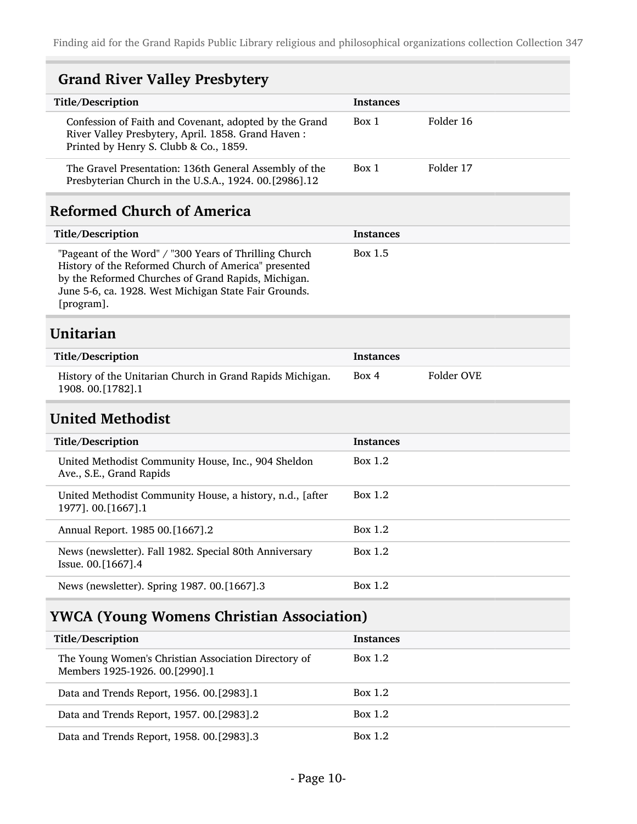| <b>Grand River Valley Presbytery</b>                                                                                                                                                                                                         |                  |            |
|----------------------------------------------------------------------------------------------------------------------------------------------------------------------------------------------------------------------------------------------|------------------|------------|
| Title/Description                                                                                                                                                                                                                            | Instances        |            |
| Confession of Faith and Covenant, adopted by the Grand<br>River Valley Presbytery, April. 1858. Grand Haven:<br>Printed by Henry S. Clubb & Co., 1859.                                                                                       | Box 1            | Folder 16  |
| The Gravel Presentation: 136th General Assembly of the<br>Presbyterian Church in the U.S.A., 1924. 00.[2986].12                                                                                                                              | Box 1            | Folder 17  |
| <b>Reformed Church of America</b>                                                                                                                                                                                                            |                  |            |
| Title/Description                                                                                                                                                                                                                            | <b>Instances</b> |            |
| "Pageant of the Word" / "300 Years of Thrilling Church<br>History of the Reformed Church of America" presented<br>by the Reformed Churches of Grand Rapids, Michigan.<br>June 5-6, ca. 1928. West Michigan State Fair Grounds.<br>[program]. | Box 1.5          |            |
| Unitarian                                                                                                                                                                                                                                    |                  |            |
| Title/Description                                                                                                                                                                                                                            | <b>Instances</b> |            |
| History of the Unitarian Church in Grand Rapids Michigan.<br>1908. 00.[1782].1                                                                                                                                                               | Box 4            | Folder OVE |
| <b>United Methodist</b>                                                                                                                                                                                                                      |                  |            |
| Title/Description                                                                                                                                                                                                                            | <b>Instances</b> |            |
| United Methodist Community House, Inc., 904 Sheldon<br>Ave., S.E., Grand Rapids                                                                                                                                                              | Box 1.2          |            |
| United Methodist Community House, a history, n.d., [after<br>1977]. 00.[1667].1                                                                                                                                                              | Box 1.2          |            |
| Annual Report. 1985 00.[1667].2                                                                                                                                                                                                              | Box 1.2          |            |
| News (newsletter). Fall 1982. Special 80th Anniversary<br>Issue. 00.[1667].4                                                                                                                                                                 | Box 1.2          |            |
| News (newsletter). Spring 1987. 00.[1667].3                                                                                                                                                                                                  | Box 1.2          |            |
| <b>YWCA (Young Womens Christian Association)</b>                                                                                                                                                                                             |                  |            |
| <b>Title/Description</b>                                                                                                                                                                                                                     | <b>Instances</b> |            |
| The Young Women's Christian Association Directory of<br>Members 1925-1926. 00.[2990].1                                                                                                                                                       | Box 1.2          |            |
| Data and Trends Report, 1956. 00.[2983].1                                                                                                                                                                                                    | Box 1.2          |            |
| Data and Trends Report, 1957. 00.[2983].2                                                                                                                                                                                                    | Box 1.2          |            |

- Page 10-

Data and Trends Report, 1958. 00.[2983].3 Box 1.2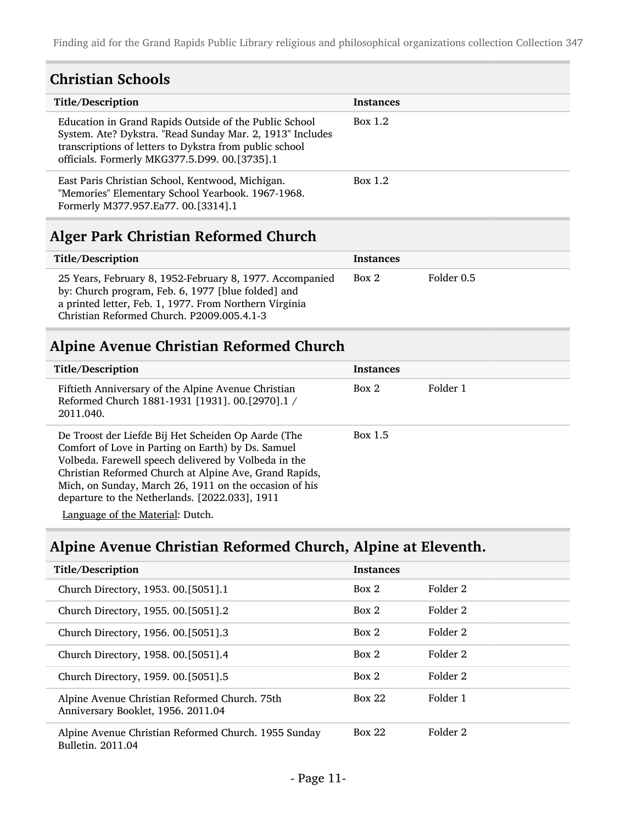#### Christian Schools

| Title/Description                                                                                                                                                                                                               | Instances |
|---------------------------------------------------------------------------------------------------------------------------------------------------------------------------------------------------------------------------------|-----------|
| Education in Grand Rapids Outside of the Public School<br>System. Ate? Dykstra. "Read Sunday Mar. 2, 1913" Includes<br>transcriptions of letters to Dykstra from public school<br>officials. Formerly MKG377.5.D99. 00.[3735].1 | Box $1.2$ |
| East Paris Christian School, Kentwood, Michigan.<br>"Memories" Elementary School Yearbook. 1967-1968.<br>Formerly M377.957.Ea77. 00.[3314].1                                                                                    | Box $1.2$ |

## Alger Park Christian Reformed Church

| Title/Description                                                                                                                                                                                                      | <b>Instances</b> |            |
|------------------------------------------------------------------------------------------------------------------------------------------------------------------------------------------------------------------------|------------------|------------|
| 25 Years, February 8, 1952-February 8, 1977. Accompanied<br>by: Church program, Feb. 6, 1977 [blue folded] and<br>a printed letter, Feb. 1, 1977. From Northern Virginia<br>Christian Reformed Church. P2009.005.4.1-3 | Box 2            | Folder 0.5 |

## Alpine Avenue Christian Reformed Church

| Title/Description                                                                                                                                                                                                                                                                                                                       | <b>Instances</b> |          |
|-----------------------------------------------------------------------------------------------------------------------------------------------------------------------------------------------------------------------------------------------------------------------------------------------------------------------------------------|------------------|----------|
| Fiftieth Anniversary of the Alpine Avenue Christian<br>Reformed Church 1881-1931 [1931]. 00. [2970]. 1 /<br>2011.040.                                                                                                                                                                                                                   | Box 2            | Folder 1 |
| De Troost der Liefde Bij Het Scheiden Op Aarde (The<br>Comfort of Love in Parting on Earth) by Ds. Samuel<br>Volbeda. Farewell speech delivered by Volbeda in the<br>Christian Reformed Church at Alpine Ave, Grand Rapids,<br>Mich, on Sunday, March 26, 1911 on the occasion of his<br>departure to the Netherlands. [2022.033], 1911 | Box 1.5          |          |

Language of the Material: Dutch.

## Alpine Avenue Christian Reformed Church, Alpine at Eleventh.

| Title/Description                                                                   | <b>Instances</b> |          |
|-------------------------------------------------------------------------------------|------------------|----------|
| Church Directory, 1953. 00.[5051].1                                                 | Box 2            | Folder 2 |
| Church Directory, 1955. 00.[5051].2                                                 | Box 2            | Folder 2 |
| Church Directory, 1956. 00.[5051].3                                                 | Box 2            | Folder 2 |
| Church Directory, 1958. 00. [5051]. 4                                               | Box 2            | Folder 2 |
| Church Directory, 1959. 00.[5051].5                                                 | Box 2            | Folder 2 |
| Alpine Avenue Christian Reformed Church. 75th<br>Anniversary Booklet, 1956. 2011.04 | Box 22           | Folder 1 |
| Alpine Avenue Christian Reformed Church. 1955 Sunday<br>Bulletin, 2011.04           | <b>Box 22</b>    | Folder 2 |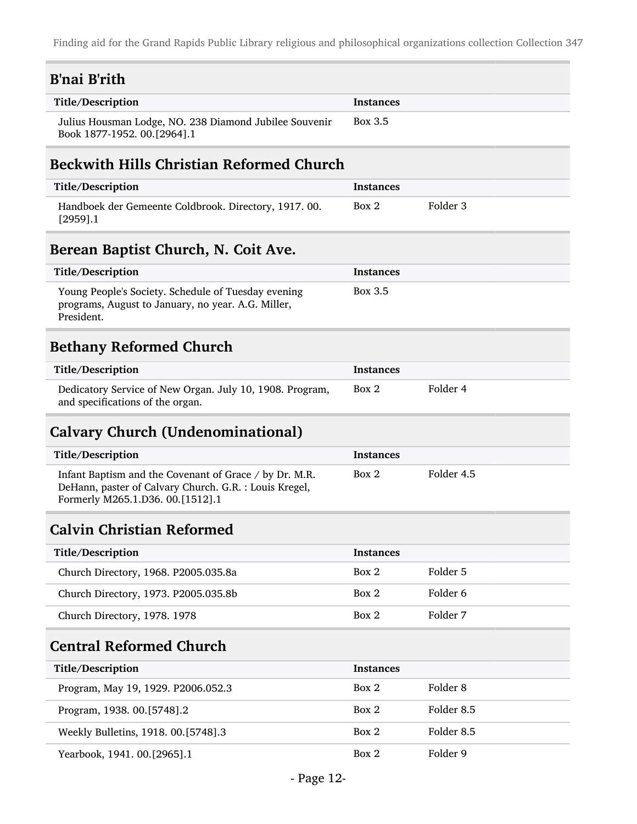| <b>B'nai B'rith</b>                                                                                                                                  |                  |                     |
|------------------------------------------------------------------------------------------------------------------------------------------------------|------------------|---------------------|
| Title/Description                                                                                                                                    | <b>Instances</b> |                     |
| Julius Housman Lodge, NO. 238 Diamond Jubilee Souvenir<br>Book 1877-1952. 00.[2964].1                                                                | Box 3.5          |                     |
| <b>Beckwith Hills Christian Reformed Church</b>                                                                                                      |                  |                     |
| Title/Description                                                                                                                                    | <b>Instances</b> |                     |
| Handboek der Gemeente Coldbrook. Directory, 1917. 00.<br>$[2959]$ .1                                                                                 | Box 2            | Folder 3            |
| Berean Baptist Church, N. Coit Ave.                                                                                                                  |                  |                     |
| Title/Description                                                                                                                                    | <b>Instances</b> |                     |
| Young People's Society. Schedule of Tuesday evening<br>programs, August to January, no year. A.G. Miller,<br>President.                              | Box 3.5          |                     |
| <b>Bethany Reformed Church</b>                                                                                                                       |                  |                     |
| Title/Description                                                                                                                                    | <b>Instances</b> |                     |
| Dedicatory Service of New Organ. July 10, 1908. Program,<br>and specifications of the organ.                                                         | Box 2            | Folder 4            |
|                                                                                                                                                      |                  |                     |
| <b>Calvary Church (Undenominational)</b>                                                                                                             |                  |                     |
| Title/Description                                                                                                                                    | Instances        |                     |
| Infant Baptism and the Covenant of Grace / by Dr. M.R.<br>DeHann, paster of Calvary Church. G.R. : Louis Kregel,<br>Formerly M265.1.D36. 00.[1512].1 | Box 2            | Folder 4.5          |
| <b>Calvin Christian Reformed</b>                                                                                                                     |                  |                     |
| Title/Description                                                                                                                                    | <b>Instances</b> |                     |
| Church Directory, 1968. P2005.035.8a                                                                                                                 | Box 2            | Folder 5            |
| Church Directory, 1973. P2005.035.8b                                                                                                                 | Box 2            | Folder 6            |
| Church Directory, 1978. 1978                                                                                                                         | Box 2            | Folder 7            |
| <b>Central Reformed Church</b>                                                                                                                       |                  |                     |
| Title/Description                                                                                                                                    | <b>Instances</b> |                     |
| Program, May 19, 1929. P2006.052.3                                                                                                                   | Box 2            | Folder <sub>8</sub> |
| Program, 1938. 00.[5748].2                                                                                                                           | Box 2            | Folder 8.5          |
| Weekly Bulletins, 1918. 00.[5748].3                                                                                                                  | Box 2            | Folder 8.5          |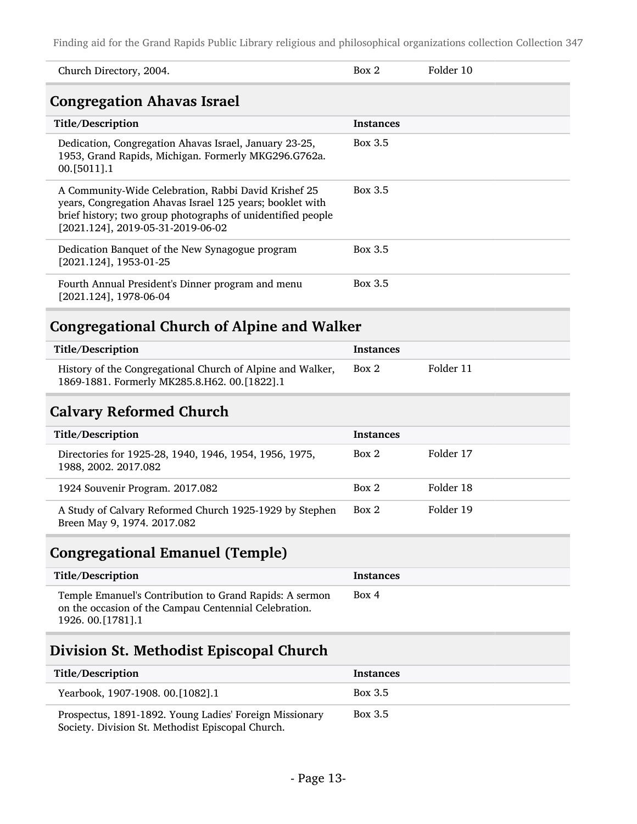| Church Directory, 2004.                                                                                                                                                                                               | Box 2            | Folder 10 |
|-----------------------------------------------------------------------------------------------------------------------------------------------------------------------------------------------------------------------|------------------|-----------|
| <b>Congregation Ahavas Israel</b>                                                                                                                                                                                     |                  |           |
| Title/Description                                                                                                                                                                                                     | <b>Instances</b> |           |
| Dedication, Congregation Ahavas Israel, January 23-25,<br>1953, Grand Rapids, Michigan. Formerly MKG296.G762a.<br>00. [5011]. 1                                                                                       | Box 3.5          |           |
| A Community-Wide Celebration, Rabbi David Krishef 25<br>years, Congregation Ahavas Israel 125 years; booklet with<br>brief history; two group photographs of unidentified people<br>[2021.124], 2019-05-31-2019-06-02 | Box 3.5          |           |
| Dedication Banquet of the New Synagogue program<br>[2021.124], 1953-01-25                                                                                                                                             | Box 3.5          |           |
| Fourth Annual President's Dinner program and menu<br>$[2021.124]$ , 1978-06-04                                                                                                                                        | Box 3.5          |           |
| <b>Congregational Church of Alpine and Walker</b>                                                                                                                                                                     |                  |           |
| Title/Description                                                                                                                                                                                                     | <b>Instances</b> |           |
| History of the Congregational Church of Alpine and Walker,<br>1869-1881. Formerly MK285.8.H62. 00.[1822].1                                                                                                            | Box 2            | Folder 11 |
| <b>Calvary Reformed Church</b>                                                                                                                                                                                        |                  |           |

| Title/Description                                                                      | <b>Instances</b> |           |
|----------------------------------------------------------------------------------------|------------------|-----------|
| Directories for 1925-28, 1940, 1946, 1954, 1956, 1975,<br>1988, 2002. 2017.082         | Box 2            | Folder 17 |
| 1924 Souvenir Program. 2017.082                                                        | Box 2            | Folder 18 |
| A Study of Calvary Reformed Church 1925-1929 by Stephen<br>Breen May 9, 1974. 2017.082 | Box 2            | Folder 19 |

## Congregational Emanuel (Temple)

| Title/Description                                                                                                                       | Instances |
|-----------------------------------------------------------------------------------------------------------------------------------------|-----------|
| Temple Emanuel's Contribution to Grand Rapids: A sermon<br>on the occasion of the Campau Centennial Celebration.<br>1926. 00. [1781]. 1 | Box 4     |

## Division St. Methodist Episcopal Church

| Title/Description                                                                                            | <b>Instances</b> |
|--------------------------------------------------------------------------------------------------------------|------------------|
| Yearbook, 1907-1908. 00.[1082].1                                                                             | Box 3.5          |
| Prospectus, 1891-1892. Young Ladies' Foreign Missionary<br>Society. Division St. Methodist Episcopal Church. | Box 3.5          |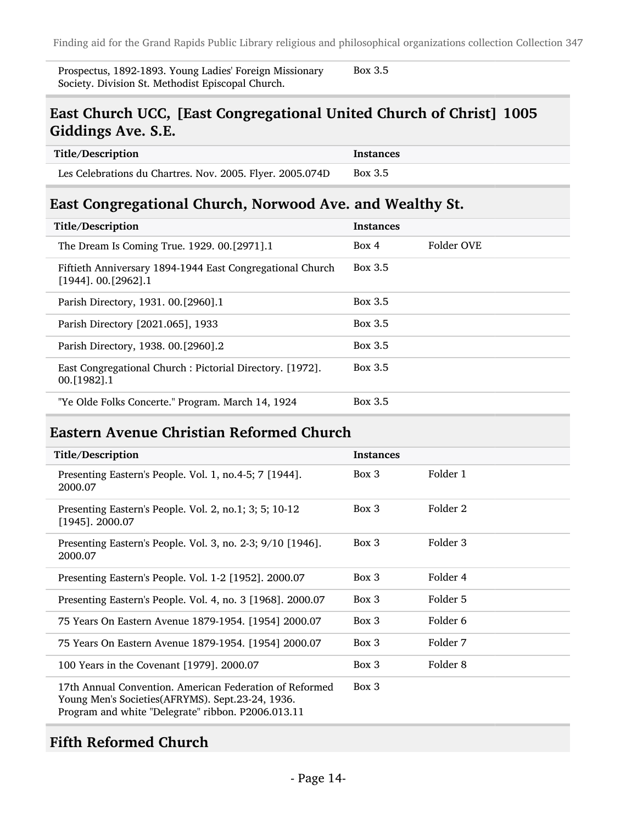Prospectus, 1892-1893. Young Ladies' Foreign Missionary Society. Division St. Methodist Episcopal Church.

#### Box 3.5

#### East Church UCC, [East Congregational United Church of Christ] 1005 Giddings Ave. S.E.

| Title/Description                                         | Instances |
|-----------------------------------------------------------|-----------|
| Les Celebrations du Chartres. Nov. 2005. Flyer. 2005.074D | Box 3.5   |

#### East Congregational Church, Norwood Ave. and Wealthy St.

| Title/Description                                                                       | <b>Instances</b> |            |
|-----------------------------------------------------------------------------------------|------------------|------------|
| The Dream Is Coming True. 1929. 00.[2971].1                                             | Box 4            | Folder OVE |
| Fiftieth Anniversary 1894-1944 East Congregational Church<br>$[1944]$ . 00. $[2962]$ .1 | Box 3.5          |            |
| Parish Directory, 1931. 00. [2960]. 1                                                   | Box 3.5          |            |
| Parish Directory [2021.065], 1933                                                       | Box 3.5          |            |
| Parish Directory, 1938. 00.[2960].2                                                     | Box 3.5          |            |
| East Congregational Church : Pictorial Directory. [1972].<br>00. [1982] . 1             | Box 3.5          |            |
| "Ye Olde Folks Concerte." Program. March 14, 1924                                       | Box 3.5          |            |

#### Eastern Avenue Christian Reformed Church

| Title/Description                                                                                                                                                 | <b>Instances</b> |          |
|-------------------------------------------------------------------------------------------------------------------------------------------------------------------|------------------|----------|
| Presenting Eastern's People. Vol. 1, no.4-5; 7 [1944].<br>2000.07                                                                                                 | Box 3            | Folder 1 |
| Presenting Eastern's People. Vol. 2, no.1; 3; 5; 10-12<br>$[1945]$ . 2000.07                                                                                      | $Box\ 3$         | Folder 2 |
| Presenting Eastern's People. Vol. 3, no. 2-3; 9/10 [1946].<br>2000.07                                                                                             | Box 3            | Folder 3 |
| Presenting Eastern's People. Vol. 1-2 [1952]. 2000.07                                                                                                             | $Box\ 3$         | Folder 4 |
| Presenting Eastern's People. Vol. 4, no. 3 [1968]. 2000.07                                                                                                        | Box 3            | Folder 5 |
| 75 Years On Eastern Avenue 1879-1954. [1954] 2000.07                                                                                                              | Box 3            | Folder 6 |
| 75 Years On Eastern Avenue 1879-1954. [1954] 2000.07                                                                                                              | Box 3            | Folder 7 |
| 100 Years in the Covenant [1979]. 2000.07                                                                                                                         | Box 3            | Folder 8 |
| 17th Annual Convention. American Federation of Reformed<br>Young Men's Societies(AFRYMS). Sept.23-24, 1936.<br>Program and white "Delegrate" ribbon. P2006.013.11 | Box 3            |          |

#### Fifth Reformed Church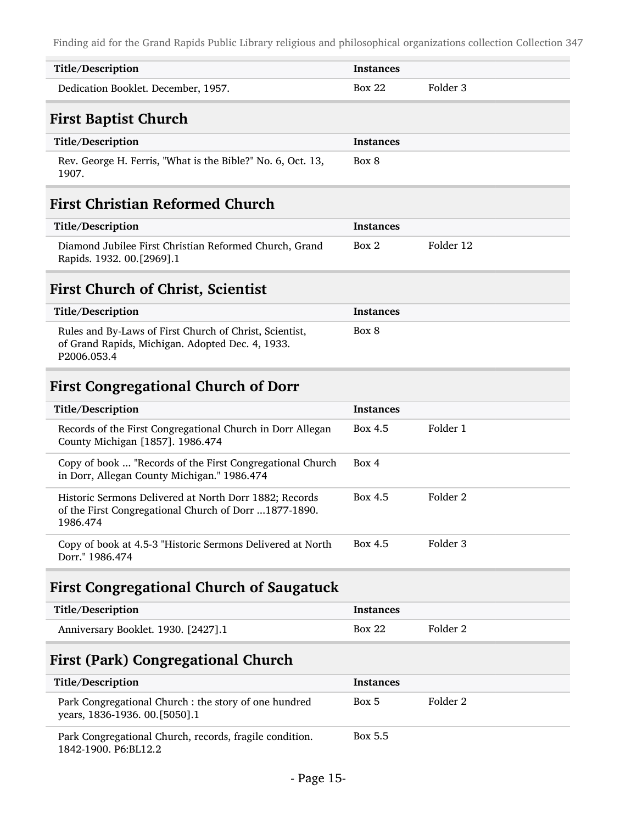| Title/Description                                                                                                           | Instances        |                     |
|-----------------------------------------------------------------------------------------------------------------------------|------------------|---------------------|
| Dedication Booklet. December, 1957.                                                                                         | <b>Box 22</b>    | Folder 3            |
| <b>First Baptist Church</b>                                                                                                 |                  |                     |
| Title/Description                                                                                                           | <b>Instances</b> |                     |
| Rev. George H. Ferris, "What is the Bible?" No. 6, Oct. 13,<br>1907.                                                        | Box 8            |                     |
| <b>First Christian Reformed Church</b>                                                                                      |                  |                     |
| Title/Description                                                                                                           | <b>Instances</b> |                     |
| Diamond Jubilee First Christian Reformed Church, Grand<br>Rapids. 1932. 00.[2969].1                                         | Box 2            | Folder 12           |
| <b>First Church of Christ, Scientist</b>                                                                                    |                  |                     |
| Title/Description                                                                                                           | <b>Instances</b> |                     |
| Rules and By-Laws of First Church of Christ, Scientist,<br>of Grand Rapids, Michigan. Adopted Dec. 4, 1933.<br>P2006.053.4  | Box 8            |                     |
| <b>First Congregational Church of Dorr</b>                                                                                  |                  |                     |
| Title/Description                                                                                                           | <b>Instances</b> |                     |
| Records of the First Congregational Church in Dorr Allegan<br>County Michigan [1857]. 1986.474                              | Box 4.5          | Folder 1            |
| Copy of book  "Records of the First Congregational Church<br>in Dorr, Allegan County Michigan." 1986.474                    | Box 4            |                     |
| Historic Sermons Delivered at North Dorr 1882; Records<br>of the First Congregational Church of Dorr 1877-1890.<br>1986.474 | Box 4.5          | Folder <sub>2</sub> |
| Copy of book at 4.5-3 "Historic Sermons Delivered at North<br>Dorr." 1986.474                                               | <b>Box 4.5</b>   | Folder 3            |

## First Congregational Church of Saugatuck

| Title/Description                   | Instances     |          |
|-------------------------------------|---------------|----------|
| Anniversary Booklet. 1930. [2427].1 | <b>Box 22</b> | Folder 2 |

## First (Park) Congregational Church

| Title/Description                                                                       | <b>Instances</b> |          |
|-----------------------------------------------------------------------------------------|------------------|----------|
| Park Congregational Church : the story of one hundred<br>years, 1836-1936. 00. [5050].1 | Box 5            | Folder 2 |
| Park Congregational Church, records, fragile condition.<br>1842-1900. P6: BL12.2        | Box 5.5          |          |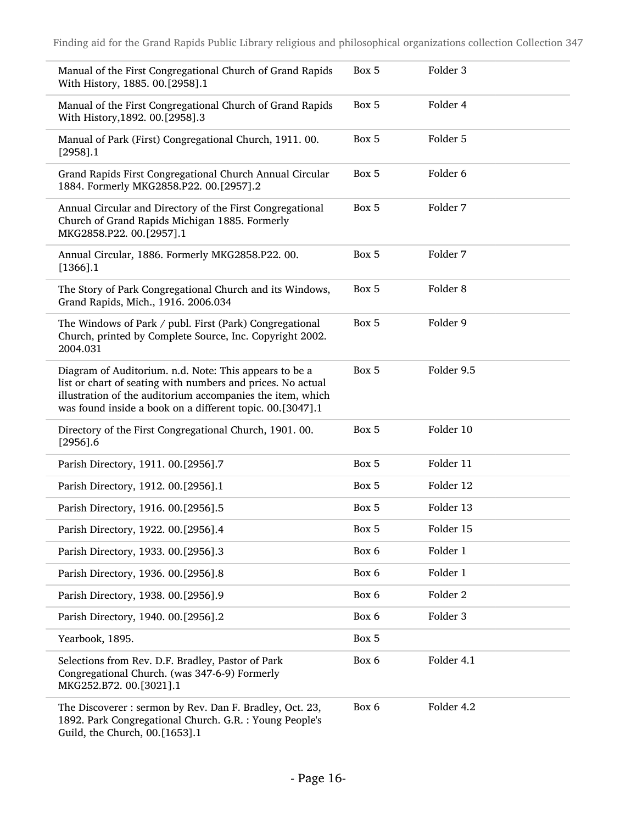| Manual of the First Congregational Church of Grand Rapids<br>With History, 1885. 00.[2958].1                                                                                                                                                     | Box 5 | Folder 3            |
|--------------------------------------------------------------------------------------------------------------------------------------------------------------------------------------------------------------------------------------------------|-------|---------------------|
| Manual of the First Congregational Church of Grand Rapids<br>With History, 1892. 00. [2958].3                                                                                                                                                    | Box 5 | Folder 4            |
| Manual of Park (First) Congregational Church, 1911. 00.<br>$[2958]$ .1                                                                                                                                                                           | Box 5 | Folder 5            |
| Grand Rapids First Congregational Church Annual Circular<br>1884. Formerly MKG2858.P22. 00.[2957].2                                                                                                                                              | Box 5 | Folder <sub>6</sub> |
| Annual Circular and Directory of the First Congregational<br>Church of Grand Rapids Michigan 1885. Formerly<br>MKG2858.P22. 00.[2957].1                                                                                                          | Box 5 | Folder 7            |
| Annual Circular, 1886. Formerly MKG2858.P22. 00.<br>$[1366]$ .1                                                                                                                                                                                  | Box 5 | Folder 7            |
| The Story of Park Congregational Church and its Windows,<br>Grand Rapids, Mich., 1916. 2006.034                                                                                                                                                  | Box 5 | Folder <sub>8</sub> |
| The Windows of Park / publ. First (Park) Congregational<br>Church, printed by Complete Source, Inc. Copyright 2002.<br>2004.031                                                                                                                  | Box 5 | Folder 9            |
| Diagram of Auditorium. n.d. Note: This appears to be a<br>list or chart of seating with numbers and prices. No actual<br>illustration of the auditorium accompanies the item, which<br>was found inside a book on a different topic. 00.[3047].1 | Box 5 | Folder 9.5          |
| Directory of the First Congregational Church, 1901. 00.<br>$[2956]$ .6                                                                                                                                                                           | Box 5 | Folder 10           |
| Parish Directory, 1911. 00.[2956].7                                                                                                                                                                                                              | Box 5 | Folder 11           |
| Parish Directory, 1912. 00.[2956].1                                                                                                                                                                                                              | Box 5 | Folder 12           |
| Parish Directory, 1916. 00.[2956].5                                                                                                                                                                                                              | Box 5 | Folder 13           |
| Parish Directory, 1922. 00.[2956].4                                                                                                                                                                                                              | Box 5 | Folder 15           |
| Parish Directory, 1933. 00.[2956].3                                                                                                                                                                                                              | Box 6 | Folder 1            |
| Parish Directory, 1936. 00.[2956].8                                                                                                                                                                                                              | Box 6 | Folder 1            |
| Parish Directory, 1938. 00.[2956].9                                                                                                                                                                                                              | Box 6 | Folder 2            |
| Parish Directory, 1940. 00.[2956].2                                                                                                                                                                                                              | Box 6 | Folder 3            |
| Yearbook, 1895.                                                                                                                                                                                                                                  | Box 5 |                     |
| Selections from Rev. D.F. Bradley, Pastor of Park<br>Congregational Church. (was 347-6-9) Formerly<br>MKG252.B72. 00.[3021].1                                                                                                                    | Box 6 | Folder 4.1          |
| The Discoverer: sermon by Rev. Dan F. Bradley, Oct. 23,<br>1892. Park Congregational Church. G.R.: Young People's<br>Guild, the Church, 00.[1653].1                                                                                              | Box 6 | Folder 4.2          |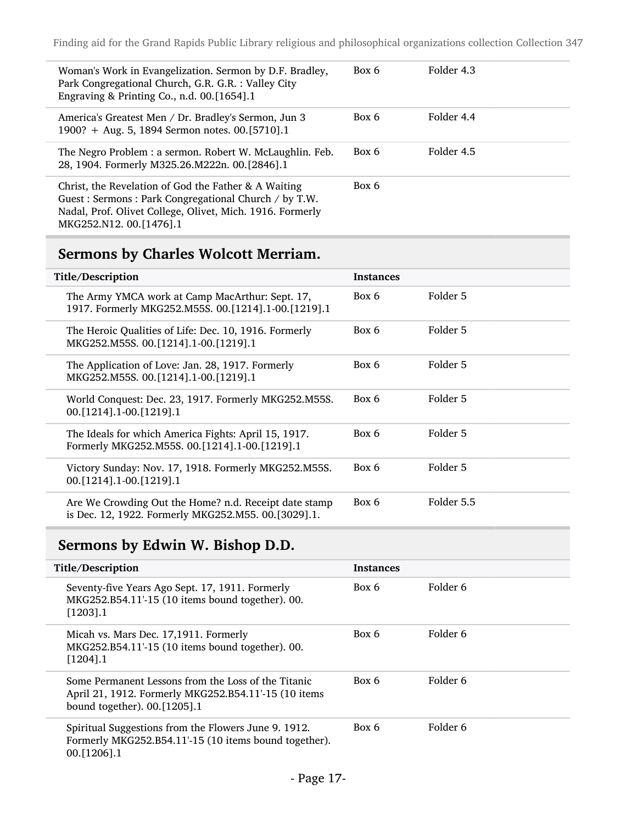| Woman's Work in Evangelization. Sermon by D.F. Bradley,<br>Park Congregational Church, G.R. G.R. : Valley City<br>Engraving & Printing Co., n.d. 00.[1654].1                                         | Box 6 | Folder 4.3 |
|------------------------------------------------------------------------------------------------------------------------------------------------------------------------------------------------------|-------|------------|
| America's Greatest Men / Dr. Bradley's Sermon, Jun 3<br>1900? + Aug. 5, 1894 Sermon notes. 00.[5710].1                                                                                               | Box 6 | Folder 4.4 |
| The Negro Problem : a sermon. Robert W. McLaughlin. Feb.<br>28, 1904. Formerly M325.26.M222n. 00.[2846].1                                                                                            | Box 6 | Folder 4.5 |
| Christ, the Revelation of God the Father & A Waiting<br>Guest: Sermons: Park Congregational Church / by T.W.<br>Nadal, Prof. Olivet College, Olivet, Mich. 1916. Formerly<br>MKG252.N12. 00.[1476].1 | Box 6 |            |

## Sermons by Charles Wolcott Merriam.

| Title/Description                                                                                            | <b>Instances</b> |            |
|--------------------------------------------------------------------------------------------------------------|------------------|------------|
| The Army YMCA work at Camp MacArthur: Sept. 17,<br>1917. Formerly MKG252.M55S. 00.[1214].1-00.[1219].1       | Box 6            | Folder 5   |
| The Heroic Qualities of Life: Dec. 10, 1916. Formerly<br>MKG252.M55S. 00.[1214].1-00.[1219].1                | Box 6            | Folder 5   |
| The Application of Love: Jan. 28, 1917. Formerly<br>MKG252.M55S. 00. [1214]. 1-00. [1219]. 1                 | Box 6            | Folder 5   |
| World Conquest: Dec. 23, 1917. Formerly MKG252.M55S.<br>00. [1214] . 1 - 00. [1219] . 1                      | Box 6            | Folder 5   |
| The Ideals for which America Fights: April 15, 1917.<br>Formerly MKG252.M55S. 00.[1214].1-00.[1219].1        | Box 6            | Folder 5   |
| Victory Sunday: Nov. 17, 1918. Formerly MKG252.M55S.<br>00. [1214] .1-00. [1219] .1                          | Box 6            | Folder 5   |
| Are We Crowding Out the Home? n.d. Receipt date stamp<br>is Dec. 12, 1922. Formerly MKG252.M55. 00.[3029].1. | Box 6            | Folder 5.5 |

## Sermons by Edwin W. Bishop D.D.

| Title/Description                                                                                                                           | <b>Instances</b> |          |
|---------------------------------------------------------------------------------------------------------------------------------------------|------------------|----------|
| Seventy-five Years Ago Sept. 17, 1911. Formerly<br>MKG252.B54.11'-15 (10 items bound together). 00.<br>$[1203]$ .1                          | Box 6            | Folder 6 |
| Micah vs. Mars Dec. 17,1911. Formerly<br>MKG252.B54.11'-15 (10 items bound together). 00.<br>$[1204]$ .1                                    | Box 6            | Folder 6 |
| Some Permanent Lessons from the Loss of the Titanic<br>April 21, 1912. Formerly MKG252.B54.11'-15 (10 items<br>bound together). 00.[1205].1 | Box 6            | Folder 6 |
| Spiritual Suggestions from the Flowers June 9. 1912.<br>Formerly MKG252.B54.11'-15 (10 items bound together).<br>$00. [1206]$ .1            | Box 6            | Folder 6 |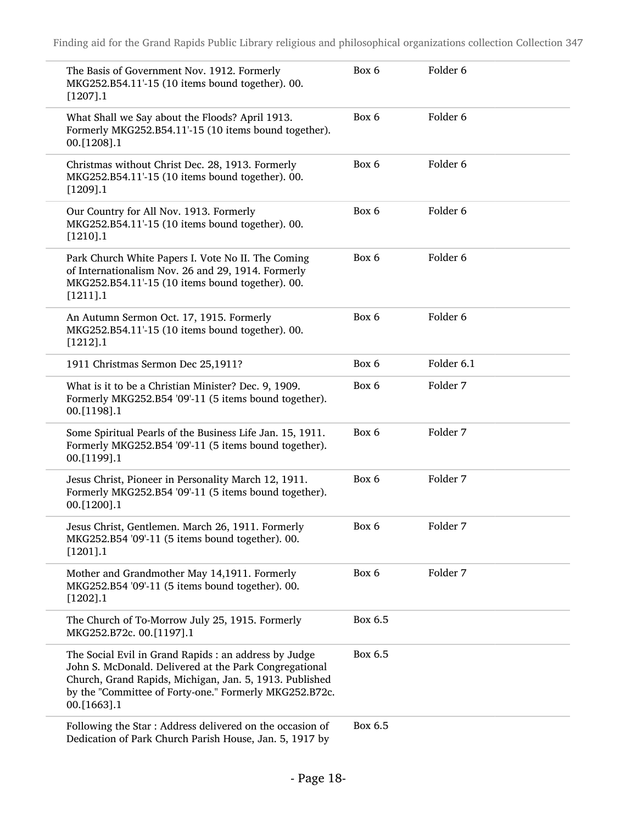| The Basis of Government Nov. 1912. Formerly<br>MKG252.B54.11'-15 (10 items bound together). 00.<br>[1207].1                                                                                                                                         | Box 6   | Folder 6            |
|-----------------------------------------------------------------------------------------------------------------------------------------------------------------------------------------------------------------------------------------------------|---------|---------------------|
| What Shall we Say about the Floods? April 1913.<br>Formerly MKG252.B54.11'-15 (10 items bound together).<br>00.[1208].1                                                                                                                             | Box 6   | Folder <sub>6</sub> |
| Christmas without Christ Dec. 28, 1913. Formerly<br>MKG252.B54.11'-15 (10 items bound together). 00.<br>[1209].1                                                                                                                                    | Box 6   | Folder <sub>6</sub> |
| Our Country for All Nov. 1913. Formerly<br>MKG252.B54.11'-15 (10 items bound together). 00.<br>$[1210]$ .1                                                                                                                                          | Box 6   | Folder <sub>6</sub> |
| Park Church White Papers I. Vote No II. The Coming<br>of Internationalism Nov. 26 and 29, 1914. Formerly<br>MKG252.B54.11'-15 (10 items bound together). 00.<br>$[1211]$ .1                                                                         | Box 6   | Folder 6            |
| An Autumn Sermon Oct. 17, 1915. Formerly<br>MKG252.B54.11'-15 (10 items bound together). 00.<br>[1212].1                                                                                                                                            | Box 6   | Folder <sub>6</sub> |
| 1911 Christmas Sermon Dec 25,1911?                                                                                                                                                                                                                  | Box 6   | Folder 6.1          |
| What is it to be a Christian Minister? Dec. 9, 1909.<br>Formerly MKG252.B54 '09'-11 (5 items bound together).<br>00.[1198].1                                                                                                                        | Box 6   | Folder 7            |
| Some Spiritual Pearls of the Business Life Jan. 15, 1911.<br>Formerly MKG252.B54 '09'-11 (5 items bound together).<br>00.[1199].1                                                                                                                   | Box 6   | Folder 7            |
| Jesus Christ, Pioneer in Personality March 12, 1911.<br>Formerly MKG252.B54 '09'-11 (5 items bound together).<br>00.[1200].1                                                                                                                        | Box 6   | Folder 7            |
| Jesus Christ, Gentlemen. March 26, 1911. Formerly<br>MKG252.B54 '09'-11 (5 items bound together). 00.<br>$[1201]$ .1                                                                                                                                | Box 6   | Folder 7            |
| Mother and Grandmother May 14,1911. Formerly<br>MKG252.B54 '09'-11 (5 items bound together). 00.<br>[1202].1                                                                                                                                        | Box 6   | Folder 7            |
| The Church of To-Morrow July 25, 1915. Formerly<br>MKG252.B72c. 00.[1197].1                                                                                                                                                                         | Box 6.5 |                     |
| The Social Evil in Grand Rapids : an address by Judge<br>John S. McDonald. Delivered at the Park Congregational<br>Church, Grand Rapids, Michigan, Jan. 5, 1913. Published<br>by the "Committee of Forty-one." Formerly MKG252.B72c.<br>00.[1663].1 | Box 6.5 |                     |
| Following the Star: Address delivered on the occasion of<br>Dedication of Park Church Parish House, Jan. 5, 1917 by                                                                                                                                 | Box 6.5 |                     |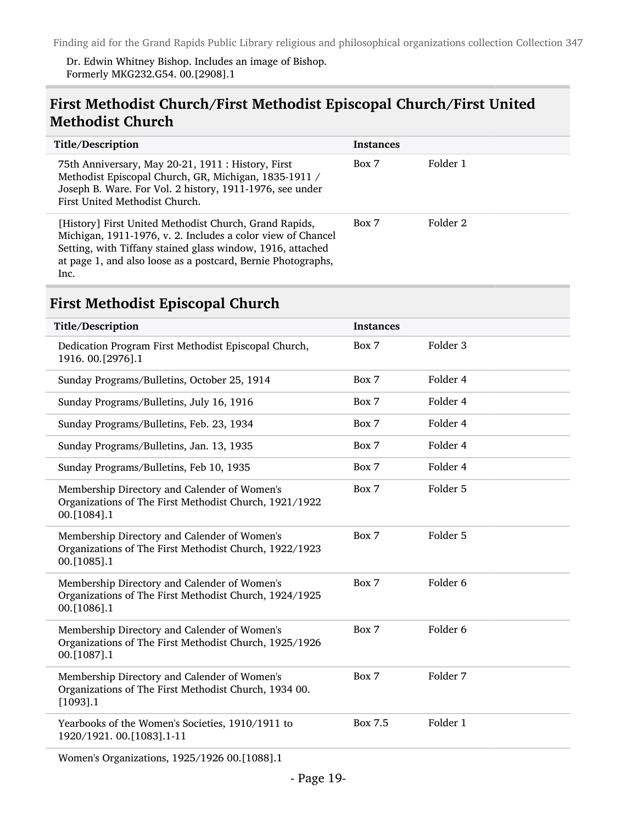Dr. Edwin Whitney Bishop. Includes an image of Bishop. Formerly MKG232.G54. 00.[2908].1

#### First Methodist Church/First Methodist Episcopal Church/First United Methodist Church

| Title/Description                                                                                                                                                                                                                                           | <b>Instances</b> |          |
|-------------------------------------------------------------------------------------------------------------------------------------------------------------------------------------------------------------------------------------------------------------|------------------|----------|
| 75th Anniversary, May 20-21, 1911 : History, First<br>Methodist Episcopal Church, GR, Michigan, 1835-1911 /<br>Joseph B. Ware. For Vol. 2 history, 1911-1976, see under<br>First United Methodist Church.                                                   | Box 7            | Folder 1 |
| [History] First United Methodist Church, Grand Rapids,<br>Michigan, 1911-1976, v. 2. Includes a color view of Chancel<br>Setting, with Tiffany stained glass window, 1916, attached<br>at page 1, and also loose as a postcard, Bernie Photographs,<br>Inc. | Box 7            | Folder 2 |

### First Methodist Episcopal Church

| Title/Description                                                                                                     | <b>Instances</b> |                     |  |  |
|-----------------------------------------------------------------------------------------------------------------------|------------------|---------------------|--|--|
| Dedication Program First Methodist Episcopal Church,<br>1916. 00.[2976].1                                             | Box 7            | Folder 3            |  |  |
| Sunday Programs/Bulletins, October 25, 1914                                                                           | Box 7            | Folder 4            |  |  |
| Sunday Programs/Bulletins, July 16, 1916                                                                              | Box 7            | Folder 4            |  |  |
| Sunday Programs/Bulletins, Feb. 23, 1934                                                                              | Box 7            | Folder 4            |  |  |
| Sunday Programs/Bulletins, Jan. 13, 1935                                                                              | Box 7            | Folder 4            |  |  |
| Sunday Programs/Bulletins, Feb 10, 1935                                                                               | Box 7            | Folder 4            |  |  |
| Membership Directory and Calender of Women's<br>Organizations of The First Methodist Church, 1921/1922<br>00.[1084].1 | Box 7            | Folder 5            |  |  |
| Membership Directory and Calender of Women's<br>Organizations of The First Methodist Church, 1922/1923<br>00.[1085].1 | Box 7            | Folder 5            |  |  |
| Membership Directory and Calender of Women's<br>Organizations of The First Methodist Church, 1924/1925<br>00.[1086].1 | Box 7            | Folder <sub>6</sub> |  |  |
| Membership Directory and Calender of Women's<br>Organizations of The First Methodist Church, 1925/1926<br>00.[1087].1 | Box 7            | Folder <sub>6</sub> |  |  |
| Membership Directory and Calender of Women's<br>Organizations of The First Methodist Church, 1934 00.<br>$[1093]$ .1  | Box 7            | Folder 7            |  |  |
| Yearbooks of the Women's Societies, 1910/1911 to<br>1920/1921. 00.[1083].1-11                                         | <b>Box 7.5</b>   | Folder 1            |  |  |
| Women's Organizations, 1925/1926 00.[1088].1                                                                          |                  |                     |  |  |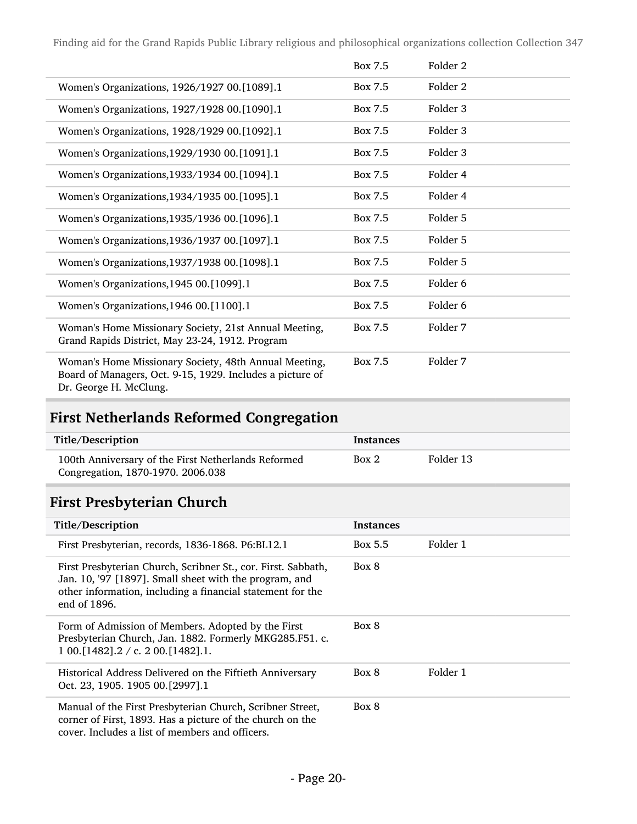|                                                                                                                                              | Box 7.5 | Folder 2            |
|----------------------------------------------------------------------------------------------------------------------------------------------|---------|---------------------|
| Women's Organizations, 1926/1927 00.[1089].1                                                                                                 | Box 7.5 | Folder <sub>2</sub> |
| Women's Organizations, 1927/1928 00.[1090].1                                                                                                 | Box 7.5 | Folder 3            |
| Women's Organizations, 1928/1929 00.[1092].1                                                                                                 | Box 7.5 | Folder 3            |
| Women's Organizations, 1929/1930 00. [1091].1                                                                                                | Box 7.5 | Folder 3            |
| Women's Organizations, 1933/1934 00. [1094].1                                                                                                | Box 7.5 | Folder 4            |
| Women's Organizations, 1934/1935 00. [1095].1                                                                                                | Box 7.5 | Folder 4            |
| Women's Organizations, 1935/1936 00. [1096].1                                                                                                | Box 7.5 | Folder 5            |
| Women's Organizations, 1936/1937 00. [1097].1                                                                                                | Box 7.5 | Folder 5            |
| Women's Organizations, 1937/1938 00. [1098].1                                                                                                | Box 7.5 | Folder 5            |
| Women's Organizations, 1945 00. [1099].1                                                                                                     | Box 7.5 | Folder 6            |
| Women's Organizations, 1946 00. [1100]. 1                                                                                                    | Box 7.5 | Folder 6            |
| Woman's Home Missionary Society, 21st Annual Meeting,<br>Grand Rapids District, May 23-24, 1912. Program                                     | Box 7.5 | Folder 7            |
| Woman's Home Missionary Society, 48th Annual Meeting,<br>Board of Managers, Oct. 9-15, 1929. Includes a picture of<br>Dr. George H. McClung. | Box 7.5 | Folder 7            |

## First Netherlands Reformed Congregation

| Title/Description                                                                        | Instances |           |
|------------------------------------------------------------------------------------------|-----------|-----------|
| 100th Anniversary of the First Netherlands Reformed<br>Congregation, 1870-1970. 2006.038 | Box 2     | Folder 13 |

## First Presbyterian Church

| Title/Description                                                                                                                                                                                     | <b>Instances</b> |          |
|-------------------------------------------------------------------------------------------------------------------------------------------------------------------------------------------------------|------------------|----------|
| First Presbyterian, records, 1836-1868. P6:BL12.1                                                                                                                                                     | Box 5.5          | Folder 1 |
| First Presbyterian Church, Scribner St., cor. First. Sabbath,<br>Jan. 10, '97 [1897]. Small sheet with the program, and<br>other information, including a financial statement for the<br>end of 1896. | Box 8            |          |
| Form of Admission of Members. Adopted by the First<br>Presbyterian Church, Jan. 1882. Formerly MKG285.F51. c.<br>$100.$ [1482].2 / c. 200.[1482].1.                                                   | Box 8            |          |
| Historical Address Delivered on the Fiftieth Anniversary<br>Oct. 23, 1905. 1905 00. [2997]. 1                                                                                                         | Box 8            | Folder 1 |
| Manual of the First Presbyterian Church, Scribner Street,<br>corner of First, 1893. Has a picture of the church on the<br>cover. Includes a list of members and officers.                             | Box 8            |          |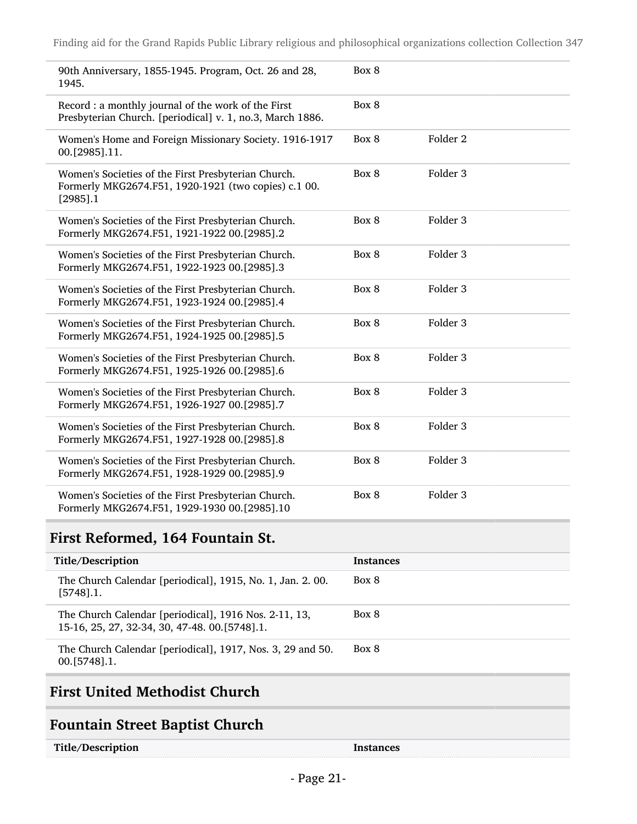| 90th Anniversary, 1855-1945. Program, Oct. 26 and 28,<br>1945.                                                             | Box 8 |                     |
|----------------------------------------------------------------------------------------------------------------------------|-------|---------------------|
| Record: a monthly journal of the work of the First<br>Presbyterian Church. [periodical] v. 1, no.3, March 1886.            | Box 8 |                     |
| Women's Home and Foreign Missionary Society. 1916-1917<br>00.[2985].11.                                                    | Box 8 | Folder <sub>2</sub> |
| Women's Societies of the First Presbyterian Church.<br>Formerly MKG2674.F51, 1920-1921 (two copies) c.1 00.<br>$[2985]$ .1 | Box 8 | Folder <sub>3</sub> |
| Women's Societies of the First Presbyterian Church.<br>Formerly MKG2674.F51, 1921-1922 00.[2985].2                         | Box 8 | Folder <sub>3</sub> |
| Women's Societies of the First Presbyterian Church.<br>Formerly MKG2674.F51, 1922-1923 00.[2985].3                         | Box 8 | Folder <sub>3</sub> |
| Women's Societies of the First Presbyterian Church.<br>Formerly MKG2674.F51, 1923-1924 00.[2985].4                         | Box 8 | Folder 3            |
| Women's Societies of the First Presbyterian Church.<br>Formerly MKG2674.F51, 1924-1925 00.[2985].5                         | Box 8 | Folder 3            |
| Women's Societies of the First Presbyterian Church.<br>Formerly MKG2674.F51, 1925-1926 00.[2985].6                         | Box 8 | Folder 3            |
| Women's Societies of the First Presbyterian Church.<br>Formerly MKG2674.F51, 1926-1927 00.[2985].7                         | Box 8 | Folder <sub>3</sub> |
| Women's Societies of the First Presbyterian Church.<br>Formerly MKG2674.F51, 1927-1928 00.[2985].8                         | Box 8 | Folder 3            |
| Women's Societies of the First Presbyterian Church.<br>Formerly MKG2674.F51, 1928-1929 00.[2985].9                         | Box 8 | Folder <sub>3</sub> |
| Women's Societies of the First Presbyterian Church.<br>Formerly MKG2674.F51, 1929-1930 00.[2985].10                        | Box 8 | Folder 3            |

### First Reformed, 164 Fountain St.

| Title/Description                                                                                        | <b>Instances</b> |
|----------------------------------------------------------------------------------------------------------|------------------|
| The Church Calendar [periodical], 1915, No. 1, Jan. 2. 00.<br>$[5748]$ .1.                               | Box 8            |
| The Church Calendar [periodical], 1916 Nos. 2-11, 13,<br>15-16, 25, 27, 32-34, 30, 47-48, 00. [5748]. 1. | Box 8            |
| The Church Calendar [periodical], 1917, Nos. 3, 29 and 50.<br>$00. [5748]$ .1.                           | Box 8            |

## First United Methodist Church

### Fountain Street Baptist Church

| Title/Description |  |
|-------------------|--|
|-------------------|--|

**Instances**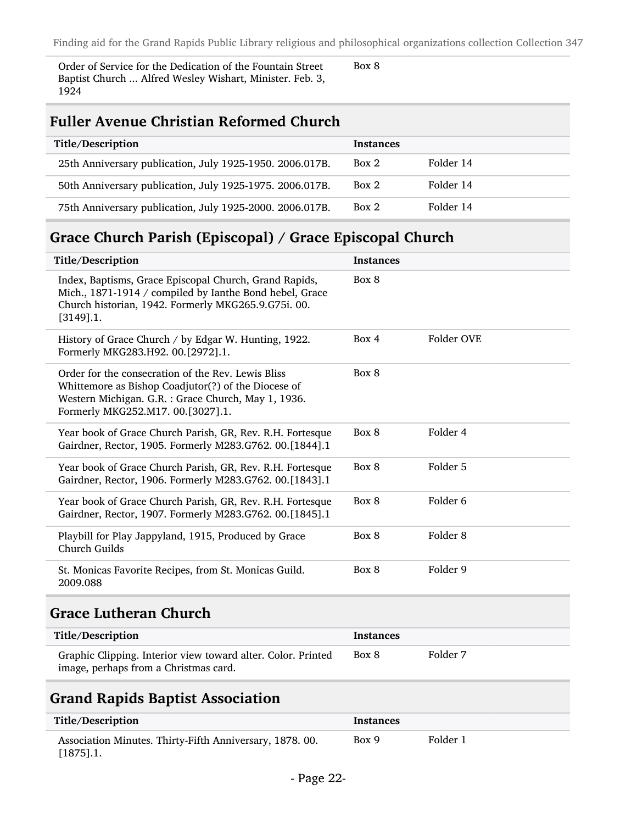Order of Service for the Dedication of the Fountain Street Baptist Church ... Alfred Wesley Wishart, Minister. Feb. 3, 1924

Box 8

#### Fuller Avenue Christian Reformed Church

| Title/Description                                        | <b>Instances</b> |           |
|----------------------------------------------------------|------------------|-----------|
| 25th Anniversary publication, July 1925-1950. 2006.017B. | Box 2            | Folder 14 |
| 50th Anniversary publication, July 1925-1975. 2006.017B. | Box 2            | Folder 14 |
| 75th Anniversary publication, July 1925-2000. 2006.017B. | Box 2            | Folder 14 |

### Grace Church Parish (Episcopal) / Grace Episcopal Church

| Title/Description                                                                                                                                                                                     | <b>Instances</b> |                     |
|-------------------------------------------------------------------------------------------------------------------------------------------------------------------------------------------------------|------------------|---------------------|
| Index, Baptisms, Grace Episcopal Church, Grand Rapids,<br>Mich., 1871-1914 / compiled by Ianthe Bond hebel, Grace<br>Church historian, 1942. Formerly MKG265.9.G75i. 00.<br>$[3149]$ .1.              | Box 8            |                     |
| History of Grace Church / by Edgar W. Hunting, 1922.<br>Formerly MKG283.H92. 00.[2972].1.                                                                                                             | Box 4            | Folder OVE          |
| Order for the consecration of the Rev. Lewis Bliss<br>Whittemore as Bishop Coadjutor(?) of the Diocese of<br>Western Michigan. G.R. : Grace Church, May 1, 1936.<br>Formerly MKG252.M17. 00.[3027].1. | Box 8            |                     |
| Year book of Grace Church Parish, GR, Rev. R.H. Fortesque<br>Gairdner, Rector, 1905. Formerly M283.G762. 00.[1844].1                                                                                  | Box 8            | Folder 4            |
| Year book of Grace Church Parish, GR, Rev. R.H. Fortesque<br>Gairdner, Rector, 1906. Formerly M283.G762. 00.[1843].1                                                                                  | Box 8            | Folder 5            |
| Year book of Grace Church Parish, GR, Rev. R.H. Fortesque<br>Gairdner, Rector, 1907. Formerly M283.G762. 00.[1845].1                                                                                  | Box 8            | Folder 6            |
| Playbill for Play Jappyland, 1915, Produced by Grace<br>Church Guilds                                                                                                                                 | Box 8            | Folder <sub>8</sub> |
| St. Monicas Favorite Recipes, from St. Monicas Guild.<br>2009.088                                                                                                                                     | Box 8            | Folder 9            |
| <b>Grace Lutheran Church</b>                                                                                                                                                                          |                  |                     |

| Title/Description                                                                                     | Instances |          |
|-------------------------------------------------------------------------------------------------------|-----------|----------|
| Graphic Clipping. Interior view toward alter. Color. Printed<br>image, perhaps from a Christmas card. | Box 8     | Folder 7 |

#### Grand Rapids Baptist Association

| Title/Description                                                       | Instances |          |
|-------------------------------------------------------------------------|-----------|----------|
| Association Minutes. Thirty-Fifth Anniversary, 1878.00.<br>$[1875]$ .1. | Box 9     | Folder 1 |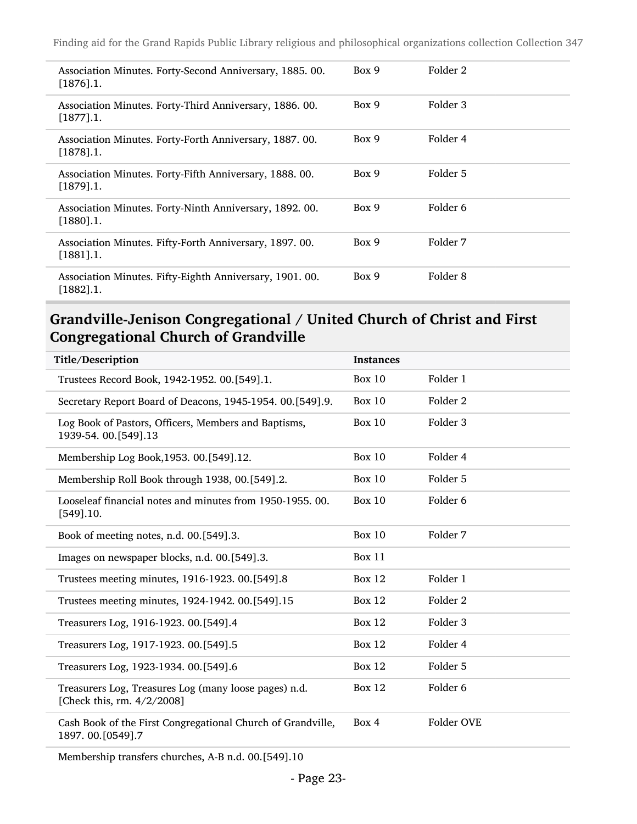| Association Minutes. Forty-Second Anniversary, 1885.00.<br>$[1876]$ .1.  | Box 9 | Folder 2 |
|--------------------------------------------------------------------------|-------|----------|
| Association Minutes. Forty-Third Anniversary, 1886. 00.<br>$[1877]$ .1.  | Box 9 | Folder 3 |
| Association Minutes. Forty-Forth Anniversary, 1887. 00.<br>$[1878]$ .1.  | Box 9 | Folder 4 |
| Association Minutes. Forty-Fifth Anniversary, 1888. 00.<br>$[1879]$ .1.  | Box 9 | Folder 5 |
| Association Minutes. Forty-Ninth Anniversary, 1892. 00.<br>$[1880]$ .1.  | Box 9 | Folder 6 |
| Association Minutes. Fifty-Forth Anniversary, 1897. 00.<br>$[1881]$ .1.  | Box 9 | Folder 7 |
| Association Minutes. Fifty-Eighth Anniversary, 1901. 00.<br>$[1882]$ .1. | Box 9 | Folder 8 |

#### Grandville-Jenison Congregational / United Church of Christ and First Congregational Church of Grandville

| Title/Description                                                                   | <b>Instances</b> |                     |
|-------------------------------------------------------------------------------------|------------------|---------------------|
| Trustees Record Book, 1942-1952. 00.[549].1.                                        | <b>Box 10</b>    | Folder 1            |
| Secretary Report Board of Deacons, 1945-1954. 00.[549].9.                           | <b>Box 10</b>    | Folder 2            |
| Log Book of Pastors, Officers, Members and Baptisms,<br>1939-54. 00. [549]. 13      | <b>Box 10</b>    | Folder 3            |
| Membership Log Book, 1953. 00. [549]. 12.                                           | <b>Box 10</b>    | Folder 4            |
| Membership Roll Book through 1938, 00.[549].2.                                      | <b>Box 10</b>    | Folder 5            |
| Looseleaf financial notes and minutes from 1950-1955.00.<br>$[549]$ .10.            | <b>Box 10</b>    | Folder 6            |
| Book of meeting notes, n.d. 00.[549].3.                                             | <b>Box 10</b>    | Folder 7            |
| Images on newspaper blocks, n.d. 00.[549].3.                                        | <b>Box 11</b>    |                     |
| Trustees meeting minutes, 1916-1923. 00.[549].8                                     | <b>Box 12</b>    | Folder 1            |
| Trustees meeting minutes, 1924-1942. 00.[549].15                                    | <b>Box 12</b>    | Folder 2            |
| Treasurers Log, 1916-1923. 00.[549].4                                               | <b>Box 12</b>    | Folder <sub>3</sub> |
| Treasurers Log, 1917-1923. 00.[549].5                                               | <b>Box 12</b>    | Folder 4            |
| Treasurers Log, 1923-1934. 00.[549].6                                               | <b>Box 12</b>    | Folder 5            |
| Treasurers Log, Treasures Log (many loose pages) n.d.<br>[Check this, rm. 4/2/2008] | <b>Box 12</b>    | Folder <sub>6</sub> |
| Cash Book of the First Congregational Church of Grandville,<br>1897.00.[0549].7     | Box 4            | Folder OVE          |

Membership transfers churches, A-B n.d. 00.[549].10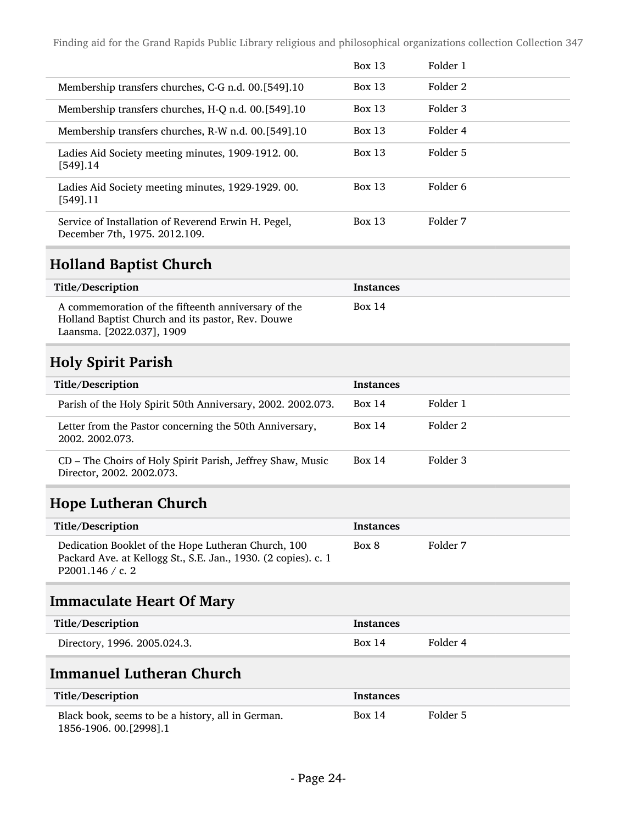|                                                                                      | <b>Box 13</b> | Folder 1 |
|--------------------------------------------------------------------------------------|---------------|----------|
| Membership transfers churches, C-G n.d. 00.[549].10                                  | Box 13        | Folder 2 |
| Membership transfers churches, H-Q n.d. 00.[549].10                                  | Box 13        | Folder 3 |
| Membership transfers churches, R-W n.d. 00. [549]. 10                                | Box 13        | Folder 4 |
| Ladies Aid Society meeting minutes, 1909-1912. 00.<br>[549].14                       | <b>Box 13</b> | Folder 5 |
| Ladies Aid Society meeting minutes, 1929-1929. 00.<br>$[549]$ .11                    | Box $13$      | Folder 6 |
| Service of Installation of Reverend Erwin H. Pegel,<br>December 7th, 1975. 2012.109. | <b>Box 13</b> | Folder 7 |

### Holland Baptist Church

| Title/Description                                                                                                                     | Instances |
|---------------------------------------------------------------------------------------------------------------------------------------|-----------|
| A commemoration of the fifteenth anniversary of the<br>Holland Baptist Church and its pastor, Rev. Douwe<br>Laansma. [2022.037], 1909 | Box 14    |

## Holy Spirit Parish

| Title/Description                                                                       | <b>Instances</b> |          |
|-----------------------------------------------------------------------------------------|------------------|----------|
| Parish of the Holy Spirit 50th Anniversary, 2002. 2002.073.                             | Box 14           | Folder 1 |
| Letter from the Pastor concerning the 50th Anniversary,<br>2002, 2002, 073.             | Box 14           | Folder 2 |
| CD - The Choirs of Holy Spirit Parish, Jeffrey Shaw, Music<br>Director, 2002. 2002.073. | Box 14           | Folder 3 |

### Hope Lutheran Church

| Title/Description                                                                                                                         | <b>Instances</b> |          |
|-------------------------------------------------------------------------------------------------------------------------------------------|------------------|----------|
| Dedication Booklet of the Hope Lutheran Church, 100<br>Packard Ave. at Kellogg St., S.E. Jan., 1930. (2 copies). c. 1<br>P2001.146 / c. 2 | Box 8            | Folder 7 |

## Immaculate Heart Of Mary

| Title/Description            | <b>Instances</b> |          |
|------------------------------|------------------|----------|
| Directory, 1996. 2005.024.3. | Box 14           | Folder 4 |

### Immanuel Lutheran Church

| Title/Description                                                             | <b>Instances</b> |          |
|-------------------------------------------------------------------------------|------------------|----------|
| Black book, seems to be a history, all in German.<br>1856-1906. 00. [2998]. 1 | <b>Box 14</b>    | Folder 5 |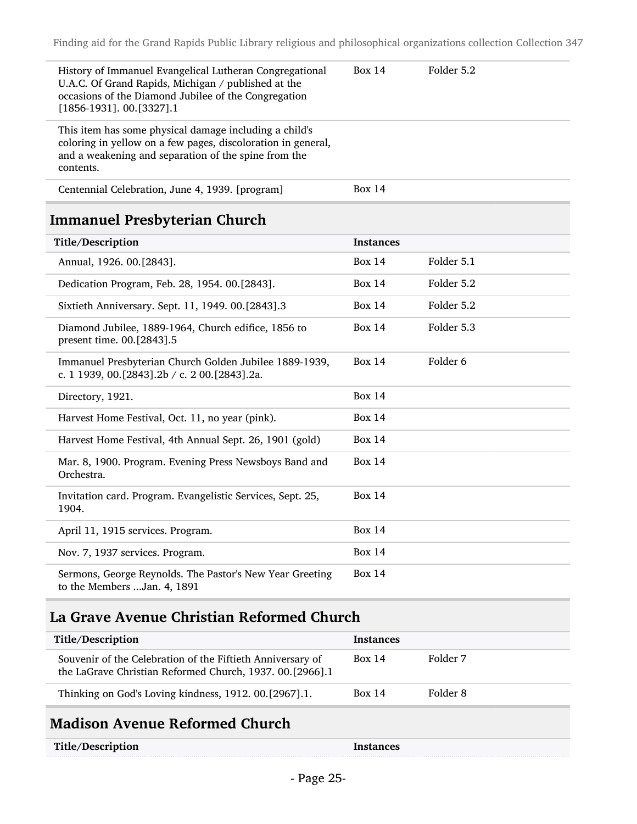| History of Immanuel Evangelical Lutheran Congregational<br>U.A.C. Of Grand Rapids, Michigan / published at the<br>occasions of the Diamond Jubilee of the Congregation<br>$[1856-1931]$ . 00.[3327].1 | Box $14$         | Folder 5.2          |
|-------------------------------------------------------------------------------------------------------------------------------------------------------------------------------------------------------|------------------|---------------------|
| This item has some physical damage including a child's<br>coloring in yellow on a few pages, discoloration in general,<br>and a weakening and separation of the spine from the<br>contents.           |                  |                     |
| Centennial Celebration, June 4, 1939. [program]                                                                                                                                                       | <b>Box 14</b>    |                     |
| <b>Immanuel Presbyterian Church</b>                                                                                                                                                                   |                  |                     |
| Title/Description                                                                                                                                                                                     | <b>Instances</b> |                     |
| Annual, 1926. 00.[2843].                                                                                                                                                                              | <b>Box 14</b>    | Folder 5.1          |
| Dedication Program, Feb. 28, 1954. 00.[2843].                                                                                                                                                         | <b>Box 14</b>    | Folder 5.2          |
| Sixtieth Anniversary. Sept. 11, 1949. 00.[2843].3                                                                                                                                                     | <b>Box 14</b>    | Folder 5.2          |
| Diamond Jubilee, 1889-1964, Church edifice, 1856 to<br>present time. 00.[2843].5                                                                                                                      | Box 14           | Folder 5.3          |
| Immanuel Presbyterian Church Golden Jubilee 1889-1939,<br>c. 1 1939, 00.[2843].2b / c. 2 00.[2843].2a.                                                                                                | Box $14$         | Folder <sub>6</sub> |
| Directory, 1921.                                                                                                                                                                                      | Box $14$         |                     |
| Harvest Home Festival, Oct. 11, no year (pink).                                                                                                                                                       | <b>Box 14</b>    |                     |
| Harvest Home Festival, 4th Annual Sept. 26, 1901 (gold)                                                                                                                                               | Box $14$         |                     |
| Mar. 8, 1900. Program. Evening Press Newsboys Band and<br>Orchestra.                                                                                                                                  | <b>Box 14</b>    |                     |
| Invitation card. Program. Evangelistic Services, Sept. 25,<br>1904.                                                                                                                                   | <b>Box 14</b>    |                     |
| April 11, 1915 services. Program.                                                                                                                                                                     | <b>Box 14</b>    |                     |
| Nov. 7, 1937 services. Program.                                                                                                                                                                       | Box $14$         |                     |
| Sermons, George Reynolds. The Pastor's New Year Greeting<br>to the Members  Jan. 4, 1891                                                                                                              | <b>Box 14</b>    |                     |

## La Grave Avenue Christian Reformed Church

| Title/Description                                                                                                      | <b>Instances</b> |          |
|------------------------------------------------------------------------------------------------------------------------|------------------|----------|
| Souvenir of the Celebration of the Fiftieth Anniversary of<br>the LaGrave Christian Reformed Church, 1937. 00.[2966].1 | <b>Box 14</b>    | Folder 7 |
| Thinking on God's Loving kindness, 1912. 00.[2967].1.                                                                  | <b>Box 14</b>    | Folder 8 |
|                                                                                                                        |                  |          |

## Madison Avenue Reformed Church

| Title/Description | Instances |
|-------------------|-----------|
|                   |           |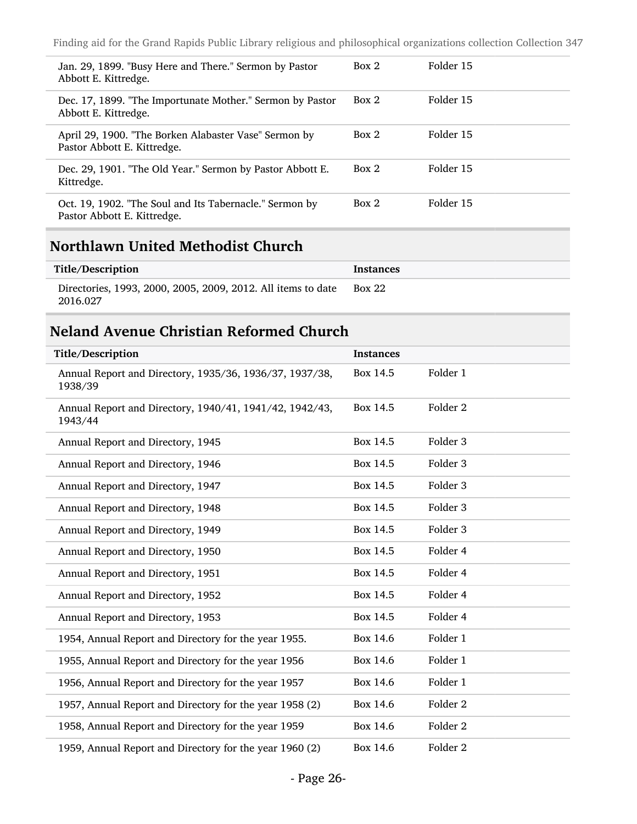| Jan. 29, 1899. "Busy Here and There." Sermon by Pastor<br>Abbott E. Kittredge.         | Box 2 | Folder 15 |
|----------------------------------------------------------------------------------------|-------|-----------|
| Dec. 17, 1899. "The Importunate Mother." Sermon by Pastor<br>Abbott E. Kittredge.      | Box 2 | Folder 15 |
| April 29, 1900. "The Borken Alabaster Vase" Sermon by<br>Pastor Abbott E. Kittredge.   | Box 2 | Folder 15 |
| Dec. 29, 1901. "The Old Year." Sermon by Pastor Abbott E.<br>Kittredge.                | Box 2 | Folder 15 |
| Oct. 19, 1902. "The Soul and Its Tabernacle." Sermon by<br>Pastor Abbott E. Kittredge. | Box 2 | Folder 15 |

### Northlawn United Methodist Church

| Title/Description                                                        | <b>Instances</b> |
|--------------------------------------------------------------------------|------------------|
| Directories, 1993, 2000, 2005, 2009, 2012. All items to date<br>2016.027 | <b>Box 22</b>    |

#### Neland Avenue Christian Reformed Church

| Title/Description                                                  | <b>Instances</b> |                     |
|--------------------------------------------------------------------|------------------|---------------------|
| Annual Report and Directory, 1935/36, 1936/37, 1937/38,<br>1938/39 | Box 14.5         | Folder 1            |
| Annual Report and Directory, 1940/41, 1941/42, 1942/43,<br>1943/44 | Box 14.5         | Folder <sub>2</sub> |
| Annual Report and Directory, 1945                                  | Box 14.5         | Folder <sub>3</sub> |
| Annual Report and Directory, 1946                                  | Box 14.5         | Folder <sub>3</sub> |
| Annual Report and Directory, 1947                                  | Box 14.5         | Folder 3            |
| Annual Report and Directory, 1948                                  | Box 14.5         | Folder <sub>3</sub> |
| Annual Report and Directory, 1949                                  | Box 14.5         | Folder <sub>3</sub> |
| Annual Report and Directory, 1950                                  | Box 14.5         | Folder 4            |
| Annual Report and Directory, 1951                                  | Box 14.5         | Folder 4            |
| Annual Report and Directory, 1952                                  | Box 14.5         | Folder 4            |
| Annual Report and Directory, 1953                                  | Box 14.5         | Folder 4            |
| 1954, Annual Report and Directory for the year 1955.               | Box 14.6         | Folder 1            |
| 1955, Annual Report and Directory for the year 1956                | Box 14.6         | Folder 1            |
| 1956, Annual Report and Directory for the year 1957                | Box 14.6         | Folder 1            |
| 1957, Annual Report and Directory for the year 1958 (2)            | Box 14.6         | Folder <sub>2</sub> |
| 1958, Annual Report and Directory for the year 1959                | Box 14.6         | Folder <sub>2</sub> |
| 1959, Annual Report and Directory for the year 1960 (2)            | Box 14.6         | Folder 2            |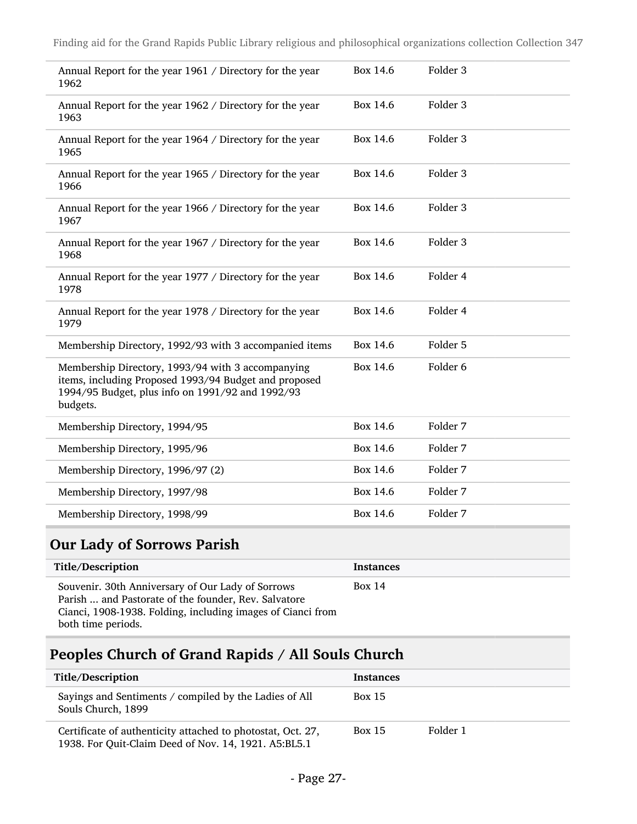| Annual Report for the year 1961 / Directory for the year<br>1962                                                                                                           | Box 14.6 | Folder 3            |
|----------------------------------------------------------------------------------------------------------------------------------------------------------------------------|----------|---------------------|
| Annual Report for the year 1962 / Directory for the year<br>1963                                                                                                           | Box 14.6 | Folder 3            |
| Annual Report for the year 1964 / Directory for the year<br>1965                                                                                                           | Box 14.6 | Folder 3            |
| Annual Report for the year 1965 / Directory for the year<br>1966                                                                                                           | Box 14.6 | Folder 3            |
| Annual Report for the year 1966 / Directory for the year<br>1967                                                                                                           | Box 14.6 | Folder 3            |
| Annual Report for the year 1967 / Directory for the year<br>1968                                                                                                           | Box 14.6 | Folder 3            |
| Annual Report for the year 1977 / Directory for the year<br>1978                                                                                                           | Box 14.6 | Folder 4            |
| Annual Report for the year 1978 / Directory for the year<br>1979                                                                                                           | Box 14.6 | Folder 4            |
| Membership Directory, 1992/93 with 3 accompanied items                                                                                                                     | Box 14.6 | Folder 5            |
| Membership Directory, 1993/94 with 3 accompanying<br>items, including Proposed 1993/94 Budget and proposed<br>1994/95 Budget, plus info on 1991/92 and 1992/93<br>budgets. | Box 14.6 | Folder <sub>6</sub> |
| Membership Directory, 1994/95                                                                                                                                              | Box 14.6 | Folder 7            |
| Membership Directory, 1995/96                                                                                                                                              | Box 14.6 | Folder 7            |
| Membership Directory, 1996/97 (2)                                                                                                                                          | Box 14.6 | Folder 7            |
| Membership Directory, 1997/98                                                                                                                                              | Box 14.6 | Folder 7            |
| Membership Directory, 1998/99                                                                                                                                              | Box 14.6 | Folder 7            |

## Our Lady of Sorrows Parish

| Title/Description                                                                                                                                                                              | Instances |
|------------------------------------------------------------------------------------------------------------------------------------------------------------------------------------------------|-----------|
| Souvenir. 30th Anniversary of Our Lady of Sorrows<br>Parish  and Pastorate of the founder, Rev. Salvatore<br>Cianci, 1908-1938. Folding, including images of Cianci from<br>both time periods. | Box 14    |

## Peoples Church of Grand Rapids / All Souls Church

| Title/Description                                                                                                   | <b>Instances</b> |          |
|---------------------------------------------------------------------------------------------------------------------|------------------|----------|
| Sayings and Sentiments / compiled by the Ladies of All<br>Souls Church, 1899                                        | <b>Box 15</b>    |          |
| Certificate of authenticity attached to photostat, Oct. 27,<br>1938. For Quit-Claim Deed of Nov. 14, 1921. A5:BL5.1 | <b>Box 15</b>    | Folder 1 |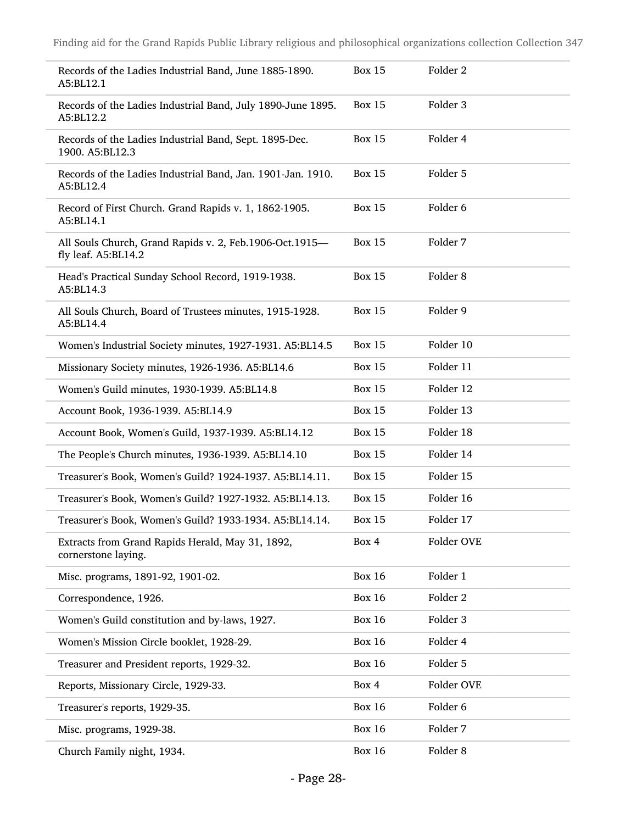| Records of the Ladies Industrial Band, June 1885-1890.<br>A5:BL12.1            | <b>Box 15</b> | Folder <sub>2</sub> |
|--------------------------------------------------------------------------------|---------------|---------------------|
| Records of the Ladies Industrial Band, July 1890-June 1895.<br>A5:BL12.2       | <b>Box 15</b> | Folder 3            |
| Records of the Ladies Industrial Band, Sept. 1895-Dec.<br>1900. A5:BL12.3      | <b>Box 15</b> | Folder 4            |
| Records of the Ladies Industrial Band, Jan. 1901-Jan. 1910.<br>A5:BL12.4       | <b>Box 15</b> | Folder 5            |
| Record of First Church. Grand Rapids v. 1, 1862-1905.<br>A5:BL14.1             | <b>Box 15</b> | Folder 6            |
| All Souls Church, Grand Rapids v. 2, Feb.1906-Oct.1915-<br>fly leaf. A5:BL14.2 | <b>Box 15</b> | Folder 7            |
| Head's Practical Sunday School Record, 1919-1938.<br>A5:BL14.3                 | <b>Box 15</b> | Folder <sub>8</sub> |
| All Souls Church, Board of Trustees minutes, 1915-1928.<br>A5:BL14.4           | <b>Box 15</b> | Folder 9            |
| Women's Industrial Society minutes, 1927-1931. A5:BL14.5                       | <b>Box 15</b> | Folder 10           |
| Missionary Society minutes, 1926-1936. A5:BL14.6                               | <b>Box 15</b> | Folder 11           |
| Women's Guild minutes, 1930-1939. A5:BL14.8                                    | <b>Box 15</b> | Folder 12           |
| Account Book, 1936-1939. A5:BL14.9                                             | <b>Box 15</b> | Folder 13           |
| Account Book, Women's Guild, 1937-1939. A5:BL14.12                             | <b>Box 15</b> | Folder 18           |
| The People's Church minutes, 1936-1939. A5:BL14.10                             | <b>Box 15</b> | Folder 14           |
| Treasurer's Book, Women's Guild? 1924-1937. A5:BL14.11.                        | <b>Box 15</b> | Folder 15           |
| Treasurer's Book, Women's Guild? 1927-1932. A5:BL14.13.                        | <b>Box 15</b> | Folder 16           |
| Treasurer's Book, Women's Guild? 1933-1934. A5:BL14.14.                        | <b>Box 15</b> | Folder 17           |
| Extracts from Grand Rapids Herald, May 31, 1892,<br>cornerstone laying.        | Box 4         | Folder OVE          |
| Misc. programs, 1891-92, 1901-02.                                              | <b>Box 16</b> | Folder 1            |
| Correspondence, 1926.                                                          | <b>Box 16</b> | Folder 2            |
| Women's Guild constitution and by-laws, 1927.                                  | <b>Box 16</b> | Folder 3            |
| Women's Mission Circle booklet, 1928-29.                                       | <b>Box 16</b> | Folder 4            |
| Treasurer and President reports, 1929-32.                                      | <b>Box 16</b> | Folder 5            |
| Reports, Missionary Circle, 1929-33.                                           | Box 4         | Folder OVE          |
| Treasurer's reports, 1929-35.                                                  | <b>Box 16</b> | Folder 6            |
| Misc. programs, 1929-38.                                                       | <b>Box 16</b> | Folder 7            |
| Church Family night, 1934.                                                     | <b>Box 16</b> | Folder 8            |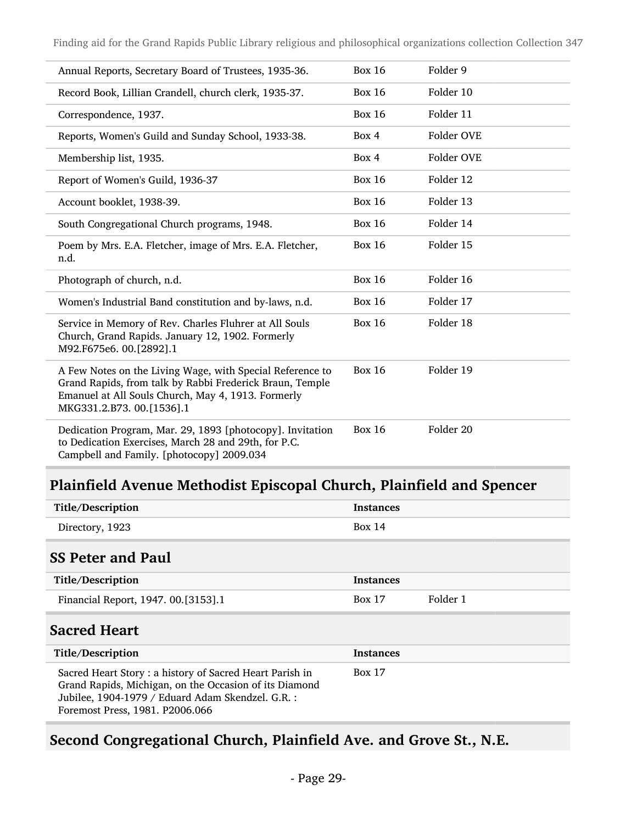| Annual Reports, Secretary Board of Trustees, 1935-36.                                                                                                                                                    | <b>Box 16</b> | Folder 9   |
|----------------------------------------------------------------------------------------------------------------------------------------------------------------------------------------------------------|---------------|------------|
| Record Book, Lillian Crandell, church clerk, 1935-37.                                                                                                                                                    | <b>Box 16</b> | Folder 10  |
| Correspondence, 1937.                                                                                                                                                                                    | <b>Box 16</b> | Folder 11  |
| Reports, Women's Guild and Sunday School, 1933-38.                                                                                                                                                       | Box 4         | Folder OVE |
| Membership list, 1935.                                                                                                                                                                                   | Box 4         | Folder OVE |
| Report of Women's Guild, 1936-37                                                                                                                                                                         | <b>Box 16</b> | Folder 12  |
| Account booklet, 1938-39.                                                                                                                                                                                | <b>Box 16</b> | Folder 13  |
| South Congregational Church programs, 1948.                                                                                                                                                              | <b>Box 16</b> | Folder 14  |
| Poem by Mrs. E.A. Fletcher, image of Mrs. E.A. Fletcher,<br>n.d.                                                                                                                                         | <b>Box 16</b> | Folder 15  |
| Photograph of church, n.d.                                                                                                                                                                               | <b>Box 16</b> | Folder 16  |
| Women's Industrial Band constitution and by-laws, n.d.                                                                                                                                                   | <b>Box 16</b> | Folder 17  |
| Service in Memory of Rev. Charles Fluhrer at All Souls<br>Church, Grand Rapids. January 12, 1902. Formerly<br>M92.F675e6. 00.[2892].1                                                                    | <b>Box 16</b> | Folder 18  |
| A Few Notes on the Living Wage, with Special Reference to<br>Grand Rapids, from talk by Rabbi Frederick Braun, Temple<br>Emanuel at All Souls Church, May 4, 1913. Formerly<br>MKG331.2.B73. 00.[1536].1 | <b>Box 16</b> | Folder 19  |
| Dedication Program, Mar. 29, 1893 [photocopy]. Invitation<br>to Dedication Exercises, March 28 and 29th, for P.C.<br>Campbell and Family. [photocopy] 2009.034                                           | <b>Box 16</b> | Folder 20  |

## Plainfield Avenue Methodist Episcopal Church, Plainfield and Spencer

| Title/Description                                                                                                                                                                                        | <b>Instances</b> |          |
|----------------------------------------------------------------------------------------------------------------------------------------------------------------------------------------------------------|------------------|----------|
| Directory, 1923                                                                                                                                                                                          | Box 14           |          |
| <b>SS Peter and Paul</b>                                                                                                                                                                                 |                  |          |
| Title/Description                                                                                                                                                                                        | <b>Instances</b> |          |
| Financial Report, 1947. 00.[3153].1                                                                                                                                                                      | <b>Box 17</b>    | Folder 1 |
| <b>Sacred Heart</b>                                                                                                                                                                                      |                  |          |
| Title/Description                                                                                                                                                                                        | <b>Instances</b> |          |
| Sacred Heart Story: a history of Sacred Heart Parish in<br>Grand Rapids, Michigan, on the Occasion of its Diamond<br>Jubilee, 1904-1979 / Eduard Adam Skendzel. G.R.:<br>Foremost Press, 1981. P2006.066 | <b>Box 17</b>    |          |

### Second Congregational Church, Plainfield Ave. and Grove St., N.E.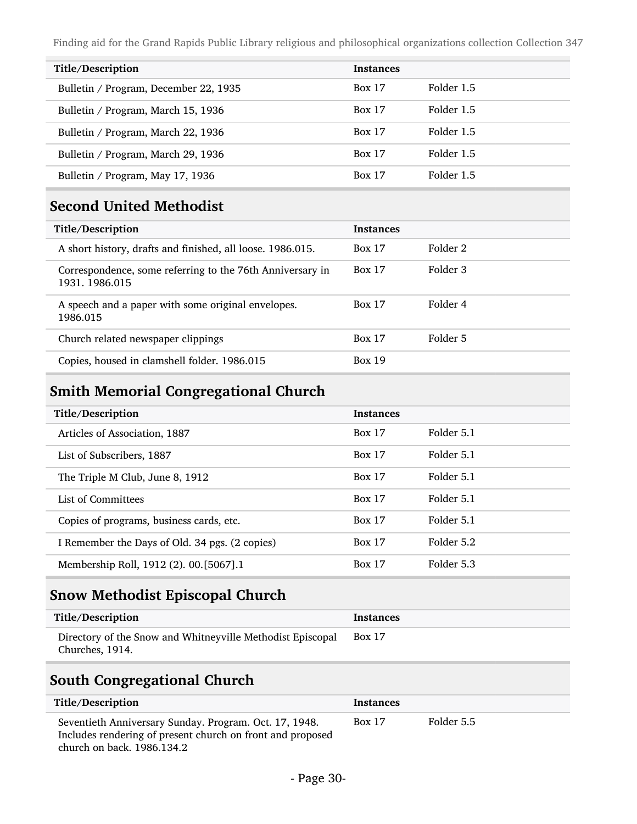| Title/Description                     | <b>Instances</b> |            |
|---------------------------------------|------------------|------------|
| Bulletin / Program, December 22, 1935 | <b>Box 17</b>    | Folder 1.5 |
| Bulletin / Program, March 15, 1936    | <b>Box 17</b>    | Folder 1.5 |
| Bulletin / Program, March 22, 1936    | <b>Box 17</b>    | Folder 1.5 |
| Bulletin / Program, March 29, 1936    | <b>Box 17</b>    | Folder 1.5 |
| Bulletin / Program, May 17, 1936      | <b>Box 17</b>    | Folder 1.5 |

#### Second United Methodist

| Title/Description                                                            | <b>Instances</b> |          |
|------------------------------------------------------------------------------|------------------|----------|
| A short history, drafts and finished, all loose. 1986.015.                   | <b>Box 17</b>    | Folder 2 |
| Correspondence, some referring to the 76th Anniversary in<br>1931, 1986, 015 | <b>Box 17</b>    | Folder 3 |
| A speech and a paper with some original envelopes.<br>1986.015               | <b>Box 17</b>    | Folder 4 |
| Church related newspaper clippings                                           | <b>Box 17</b>    | Folder 5 |
| Copies, housed in clamshell folder. 1986.015                                 | <b>Box 19</b>    |          |

### Smith Memorial Congregational Church

| Title/Description                              | <b>Instances</b> |            |
|------------------------------------------------|------------------|------------|
| Articles of Association, 1887                  | <b>Box 17</b>    | Folder 5.1 |
| List of Subscribers, 1887                      | <b>Box 17</b>    | Folder 5.1 |
| The Triple M Club, June 8, 1912                | <b>Box 17</b>    | Folder 5.1 |
| List of Committees                             | <b>Box 17</b>    | Folder 5.1 |
| Copies of programs, business cards, etc.       | <b>Box 17</b>    | Folder 5.1 |
| I Remember the Days of Old. 34 pgs. (2 copies) | <b>Box 17</b>    | Folder 5.2 |
| Membership Roll, 1912 (2). 00.[5067].1         | <b>Box 17</b>    | Folder 5.3 |

## Snow Methodist Episcopal Church

| Title/Description                                          | Instances     |
|------------------------------------------------------------|---------------|
| Directory of the Snow and Whitneyville Methodist Episcopal | <b>Box 17</b> |
| Churches, 1914.                                            |               |

### South Congregational Church

| Title/Description                                                                                                                                  | <b>Instances</b> |            |
|----------------------------------------------------------------------------------------------------------------------------------------------------|------------------|------------|
| Seventieth Anniversary Sunday. Program. Oct. 17, 1948.<br>Includes rendering of present church on front and proposed<br>church on back. 1986.134.2 | <b>Box 17</b>    | Folder 5.5 |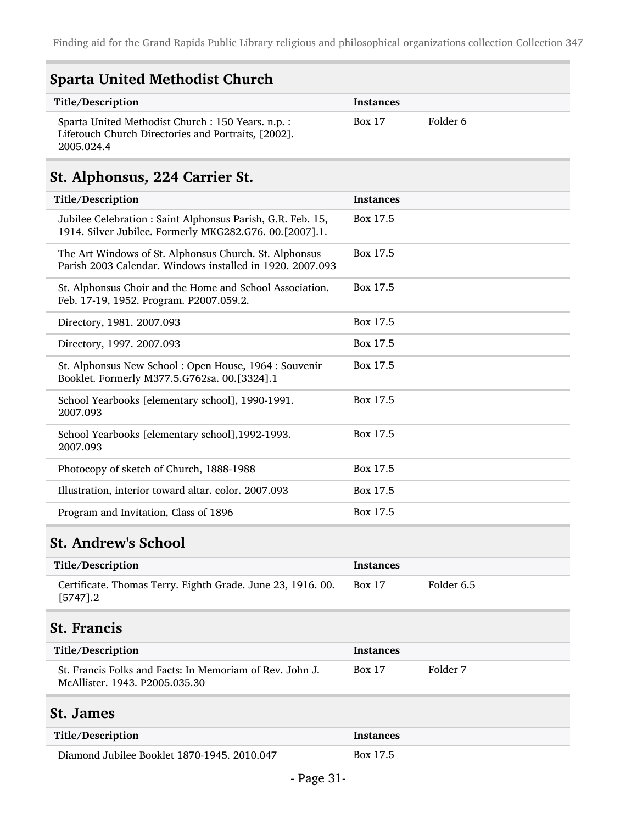| <b>Sparta United Methodist Church</b>                                                                                   |                  |          |
|-------------------------------------------------------------------------------------------------------------------------|------------------|----------|
| Title/Description                                                                                                       | Instances        |          |
| Sparta United Methodist Church : 150 Years. n.p. :<br>Lifetouch Church Directories and Portraits, [2002].<br>2005.024.4 | <b>Box 17</b>    | Folder 6 |
| St. Alphonsus, 224 Carrier St.                                                                                          |                  |          |
| Title/Description                                                                                                       | <b>Instances</b> |          |
| Jubilee Celebration : Saint Alphonsus Parish, G.R. Feb. 15,<br>1914. Silver Jubilee. Formerly MKG282.G76. 00.[2007].1.  | Box 17.5         |          |
| The Art Windows of St. Alphonsus Church. St. Alphonsus<br>Parish 2003 Calendar. Windows installed in 1920, 2007.093     | Box 17.5         |          |
| St. Alphonsus Choir and the Home and School Association.<br>Feb. 17-19, 1952. Program. P2007.059.2.                     | Box 17.5         |          |
| Directory, 1981. 2007.093                                                                                               | Box 17.5         |          |
| Directory, 1997. 2007.093                                                                                               | Box 17.5         |          |
| St. Alphonsus New School: Open House, 1964: Souvenir<br>Booklet. Formerly M377.5.G762sa. 00.[3324].1                    | Box 17.5         |          |
| School Yearbooks [elementary school], 1990-1991.<br>2007.093                                                            | Box 17.5         |          |
| School Yearbooks [elementary school], 1992-1993.<br>2007.093                                                            | Box 17.5         |          |
| Photocopy of sketch of Church, 1888-1988                                                                                | Box 17.5         |          |
| Illustration, interior toward altar. color. 2007.093                                                                    | Box 17.5         |          |
| Program and Invitation, Class of 1896                                                                                   | Box 17.5         |          |
|                                                                                                                         |                  |          |

## St. Andrew's School

| Title/Description                                                          | <b>Instances</b> |            |
|----------------------------------------------------------------------------|------------------|------------|
| Certificate. Thomas Terry. Eighth Grade. June 23, 1916. 00.<br>$[5747] .2$ | Box 17           | Folder 6.5 |

## St. Francis

| Title/Description                                                                          | <b>Instances</b> |          |
|--------------------------------------------------------------------------------------------|------------------|----------|
| St. Francis Folks and Facts: In Memoriam of Rev. John J.<br>McAllister. 1943. P2005.035.30 | <b>Box 17</b>    | Folder 7 |

### St. James

| Title/Description                           | <b>Instances</b> |
|---------------------------------------------|------------------|
| Diamond Jubilee Booklet 1870-1945. 2010.047 | Box 17.5         |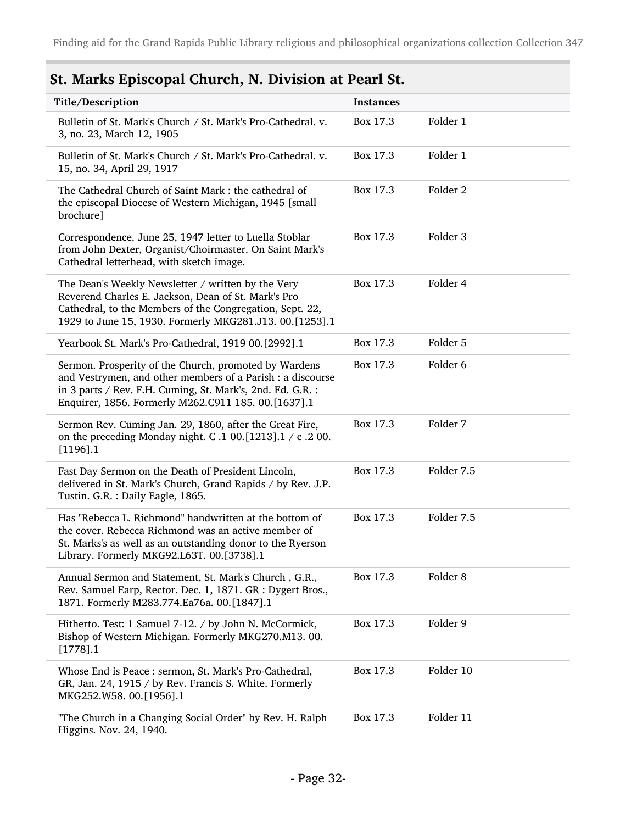## St. Marks Episcopal Church, N. Division at Pearl St.

| Title/Description                                                                                                                                                                                                                        | <b>Instances</b> |                     |
|------------------------------------------------------------------------------------------------------------------------------------------------------------------------------------------------------------------------------------------|------------------|---------------------|
| Bulletin of St. Mark's Church / St. Mark's Pro-Cathedral. v.<br>3, no. 23, March 12, 1905                                                                                                                                                | Box 17.3         | Folder 1            |
| Bulletin of St. Mark's Church / St. Mark's Pro-Cathedral. v.<br>15, no. 34, April 29, 1917                                                                                                                                               | Box 17.3         | Folder 1            |
| The Cathedral Church of Saint Mark: the cathedral of<br>the episcopal Diocese of Western Michigan, 1945 [small<br>brochure]                                                                                                              | Box 17.3         | Folder <sub>2</sub> |
| Correspondence. June 25, 1947 letter to Luella Stoblar<br>from John Dexter, Organist/Choirmaster. On Saint Mark's<br>Cathedral letterhead, with sketch image.                                                                            | Box 17.3         | Folder 3            |
| The Dean's Weekly Newsletter / written by the Very<br>Reverend Charles E. Jackson, Dean of St. Mark's Pro<br>Cathedral, to the Members of the Congregation, Sept. 22,<br>1929 to June 15, 1930. Formerly MKG281.J13. 00.[1253].1         | Box 17.3         | Folder 4            |
| Yearbook St. Mark's Pro-Cathedral, 1919 00.[2992].1                                                                                                                                                                                      | Box 17.3         | Folder 5            |
| Sermon. Prosperity of the Church, promoted by Wardens<br>and Vestrymen, and other members of a Parish : a discourse<br>in 3 parts / Rev. F.H. Cuming, St. Mark's, 2nd. Ed. G.R. :<br>Enquirer, 1856. Formerly M262.C911 185. 00.[1637].1 | Box 17.3         | Folder 6            |
| Sermon Rev. Cuming Jan. 29, 1860, after the Great Fire,<br>on the preceding Monday night. C.1 00.[1213].1 / c.2 00.<br>$[1196]$ .1                                                                                                       | Box 17.3         | Folder 7            |
| Fast Day Sermon on the Death of President Lincoln,<br>delivered in St. Mark's Church, Grand Rapids / by Rev. J.P.<br>Tustin. G.R.: Daily Eagle, 1865.                                                                                    | Box 17.3         | Folder 7.5          |
| Has "Rebecca L. Richmond" handwritten at the bottom of<br>the cover. Rebecca Richmond was an active member of<br>St. Marks's as well as an outstanding donor to the Ryerson<br>Library. Formerly MKG92.L63T. 00.[3738].1                 | Box 17.3         | Folder 7.5          |
| Annual Sermon and Statement, St. Mark's Church, G.R.,<br>Rev. Samuel Earp, Rector. Dec. 1, 1871. GR : Dygert Bros.,<br>1871. Formerly M283.774.Ea76a. 00.[1847].1                                                                        | Box 17.3         | Folder 8            |
| Hitherto. Test: 1 Samuel 7-12. / by John N. McCormick,<br>Bishop of Western Michigan. Formerly MKG270.M13.00.<br>$[1778]$ .1                                                                                                             | Box 17.3         | Folder 9            |
| Whose End is Peace: sermon, St. Mark's Pro-Cathedral,<br>GR, Jan. 24, 1915 / by Rev. Francis S. White. Formerly<br>MKG252.W58. 00.[1956].1                                                                                               | Box 17.3         | Folder 10           |
| "The Church in a Changing Social Order" by Rev. H. Ralph<br>Higgins. Nov. 24, 1940.                                                                                                                                                      | Box 17.3         | Folder 11           |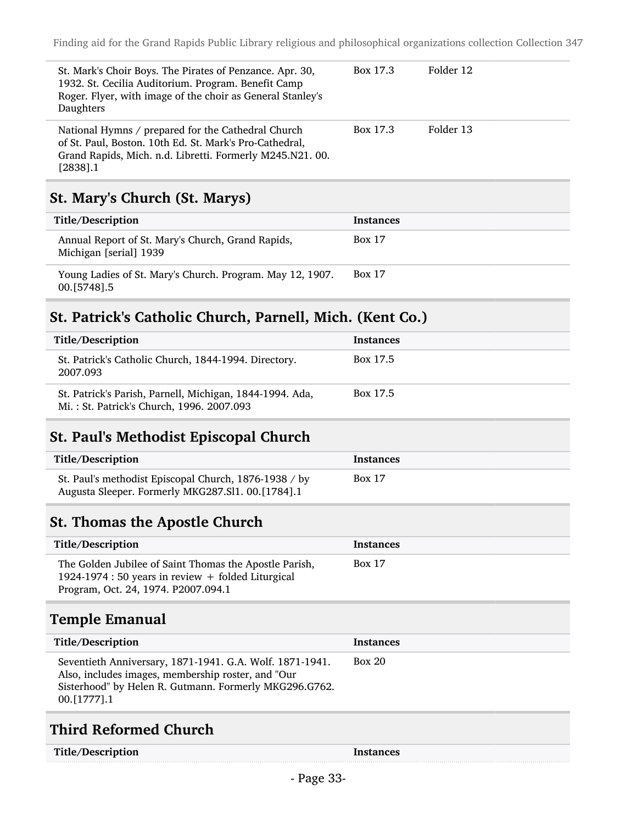| St. Mark's Choir Boys. The Pirates of Penzance. Apr. 30,<br>1932. St. Cecilia Auditorium. Program. Benefit Camp<br>Roger. Flyer, with image of the choir as General Stanley's<br>Daughters | Box 17.3 | Folder 12 |
|--------------------------------------------------------------------------------------------------------------------------------------------------------------------------------------------|----------|-----------|
| National Hymns / prepared for the Cathedral Church<br>of St. Paul, Boston. 10th Ed. St. Mark's Pro-Cathedral,<br>Grand Rapids, Mich. n.d. Libretti. Formerly M245.N21.00.<br>$[2838]$ .1   | Box 17.3 | Folder 13 |

### St. Mary's Church (St. Marys)

| Title/Description                                                           | <b>Instances</b> |
|-----------------------------------------------------------------------------|------------------|
| Annual Report of St. Mary's Church, Grand Rapids,<br>Michigan [serial] 1939 | <b>Box 17</b>    |
| Young Ladies of St. Mary's Church. Program. May 12, 1907.<br>00. [5748] .5  | <b>Box 17</b>    |

#### St. Patrick's Catholic Church, Parnell, Mich. (Kent Co.)

| Title/Description                                                                                     | <b>Instances</b> |
|-------------------------------------------------------------------------------------------------------|------------------|
| St. Patrick's Catholic Church, 1844-1994. Directory.<br>2007.093                                      | Box 17.5         |
| St. Patrick's Parish, Parnell, Michigan, 1844-1994. Ada,<br>Mi.: St. Patrick's Church, 1996. 2007.093 | Box 17.5         |

#### St. Paul's Methodist Episcopal Church

| Title/Description                                                                                          | Instances     |
|------------------------------------------------------------------------------------------------------------|---------------|
| St. Paul's methodist Episcopal Church, 1876-1938 / by<br>Augusta Sleeper. Formerly MKG287.Sl1. 00.[1784].1 | <b>Box 17</b> |

#### St. Thomas the Apostle Church

| Title/Description                                                                                                                                   | Instances     |
|-----------------------------------------------------------------------------------------------------------------------------------------------------|---------------|
| The Golden Jubilee of Saint Thomas the Apostle Parish,<br>1924-1974 : 50 years in review + folded Liturgical<br>Program, Oct. 24, 1974. P2007.094.1 | <b>Box 17</b> |

## Temple Emanual

| Title/Description                                                                                                                                                                         | <b>Instances</b> |
|-------------------------------------------------------------------------------------------------------------------------------------------------------------------------------------------|------------------|
| Seventieth Anniversary, 1871-1941. G.A. Wolf. 1871-1941.<br>Also, includes images, membership roster, and "Our<br>Sisterhood" by Helen R. Gutmann. Formerly MKG296.G762.<br>00. [1777]. 1 | Box 20           |

### Third Reformed Church

| Title/Description | Instances |
|-------------------|-----------|
|-------------------|-----------|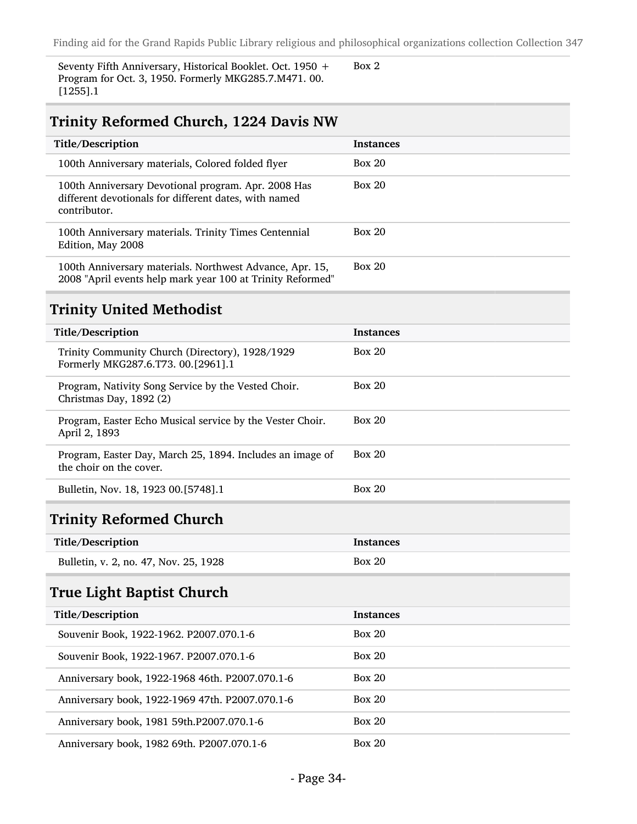Seventy Fifth Anniversary, Historical Booklet. Oct. 1950 + Program for Oct. 3, 1950. Formerly MKG285.7.M471. 00. [1255].1

Box 2

#### Trinity Reformed Church, 1224 Davis NW

| Title/Description                                                                                                            | <b>Instances</b> |
|------------------------------------------------------------------------------------------------------------------------------|------------------|
| 100th Anniversary materials, Colored folded flyer                                                                            | Box 20           |
| 100th Anniversary Devotional program. Apr. 2008 Has<br>different devotionals for different dates, with named<br>contributor. | Box 20           |
| 100th Anniversary materials. Trinity Times Centennial<br>Edition, May 2008                                                   | Box 20           |
| 100th Anniversary materials. Northwest Advance, Apr. 15,<br>2008 "April events help mark year 100 at Trinity Reformed"       | Box 20           |

#### Trinity United Methodist

| Title/Description                                                                     | <b>Instances</b> |
|---------------------------------------------------------------------------------------|------------------|
| Trinity Community Church (Directory), 1928/1929<br>Formerly MKG287.6.T73. 00.[2961].1 | Box 20           |
| Program, Nativity Song Service by the Vested Choir.<br>Christmas Day, 1892 (2)        | Box 20           |
| Program, Easter Echo Musical service by the Vester Choir.<br>April 2, 1893            | Box 20           |
| Program, Easter Day, March 25, 1894. Includes an image of<br>the choir on the cover.  | Box 20           |
| Bulletin, Nov. 18, 1923 00. [5748]. 1                                                 | Box 20           |

#### Trinity Reformed Church

| Title/Description                     | <b>Instances</b> |
|---------------------------------------|------------------|
| Bulletin, v. 2, no. 47, Nov. 25, 1928 | Box 20           |

### True Light Baptist Church

| Title/Description                               | <b>Instances</b> |
|-------------------------------------------------|------------------|
| Souvenir Book, 1922-1962. P2007.070.1-6         | Box 20           |
| Souvenir Book, 1922-1967. P2007.070.1-6         | Box 20           |
| Anniversary book, 1922-1968 46th. P2007.070.1-6 | Box 20           |
| Anniversary book, 1922-1969 47th. P2007.070.1-6 | Box 20           |
| Anniversary book, 1981 59th.P2007.070.1-6       | Box 20           |
| Anniversary book, 1982 69th. P2007.070.1-6      | Box 20           |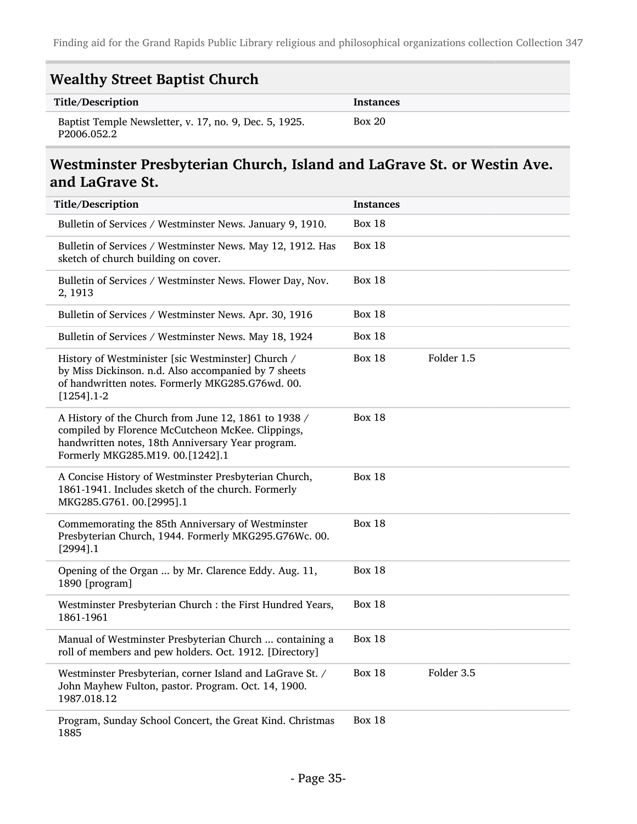| <b>Wealthy Street Baptist Church</b> |  |
|--------------------------------------|--|
|                                      |  |

| Title/Description                                                     | Instances |
|-----------------------------------------------------------------------|-----------|
| Baptist Temple Newsletter, v. 17, no. 9, Dec. 5, 1925.<br>P2006.052.2 | Box 20    |

#### Westminster Presbyterian Church, Island and LaGrave St. or Westin Ave. and LaGrave St.

| Title/Description                                                                                                                                                                                  | <b>Instances</b> |            |
|----------------------------------------------------------------------------------------------------------------------------------------------------------------------------------------------------|------------------|------------|
| Bulletin of Services / Westminster News. January 9, 1910.                                                                                                                                          | <b>Box 18</b>    |            |
| Bulletin of Services / Westminster News. May 12, 1912. Has<br>sketch of church building on cover.                                                                                                  | <b>Box 18</b>    |            |
| Bulletin of Services / Westminster News. Flower Day, Nov.<br>2, 1913                                                                                                                               | <b>Box 18</b>    |            |
| Bulletin of Services / Westminster News. Apr. 30, 1916                                                                                                                                             | <b>Box 18</b>    |            |
| Bulletin of Services / Westminster News. May 18, 1924                                                                                                                                              | <b>Box 18</b>    |            |
| History of Westminister [sic Westminster] Church /<br>by Miss Dickinson. n.d. Also accompanied by 7 sheets<br>of handwritten notes. Formerly MKG285.G76wd. 00.<br>$[1254]$ .1-2                    | <b>Box 18</b>    | Folder 1.5 |
| A History of the Church from June 12, 1861 to 1938 /<br>compiled by Florence McCutcheon McKee. Clippings,<br>handwritten notes, 18th Anniversary Year program.<br>Formerly MKG285.M19. 00.[1242].1 | <b>Box 18</b>    |            |
| A Concise History of Westminster Presbyterian Church,<br>1861-1941. Includes sketch of the church. Formerly<br>MKG285.G761. 00.[2995].1                                                            | <b>Box 18</b>    |            |
| Commemorating the 85th Anniversary of Westminster<br>Presbyterian Church, 1944. Formerly MKG295.G76Wc. 00.<br>$[2994]$ .1                                                                          | <b>Box 18</b>    |            |
| Opening of the Organ  by Mr. Clarence Eddy. Aug. 11,<br>1890 [program]                                                                                                                             | <b>Box 18</b>    |            |
| Westminster Presbyterian Church : the First Hundred Years,<br>1861-1961                                                                                                                            | <b>Box 18</b>    |            |
| Manual of Westminster Presbyterian Church  containing a<br>roll of members and pew holders. Oct. 1912. [Directory]                                                                                 | <b>Box 18</b>    |            |
| Westminster Presbyterian, corner Island and LaGrave St. /<br>John Mayhew Fulton, pastor. Program. Oct. 14, 1900.<br>1987.018.12                                                                    | <b>Box 18</b>    | Folder 3.5 |
| Program, Sunday School Concert, the Great Kind. Christmas<br>1885                                                                                                                                  | <b>Box 18</b>    |            |